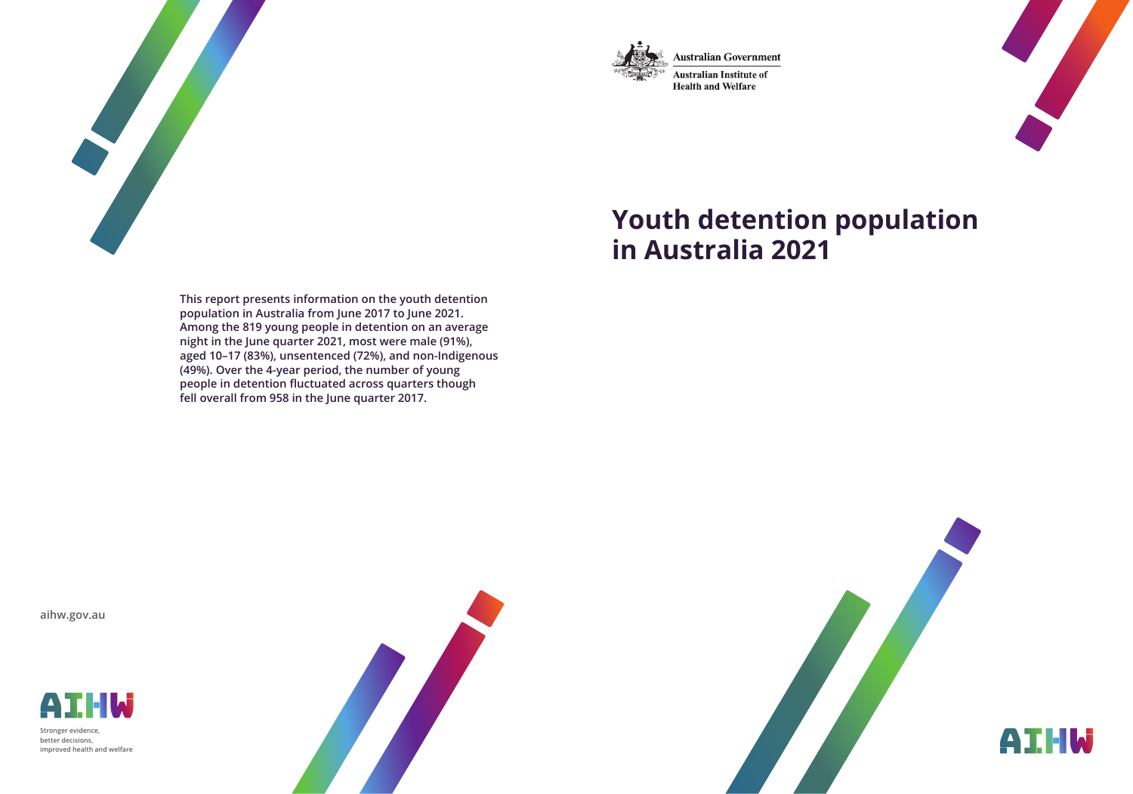

**Australian Government** 

Australian Institute of **Health and Welfare** 



# **Youth detention population in Australia 2021**

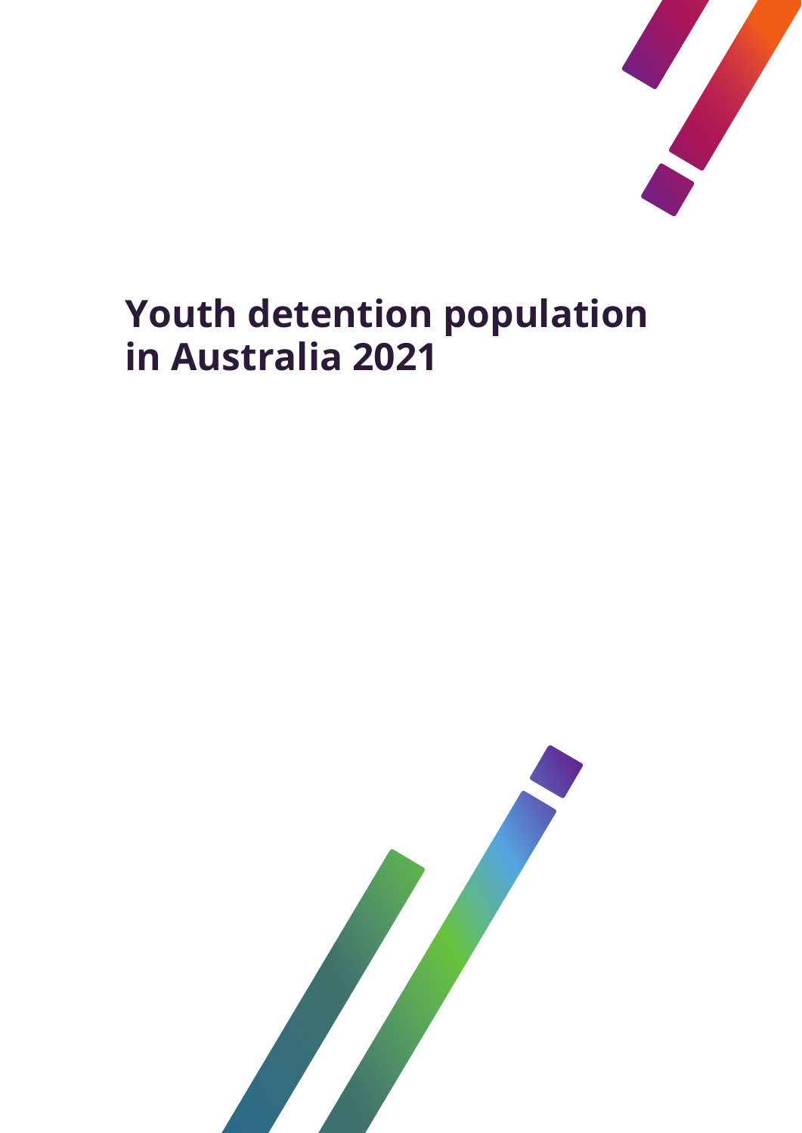

# **Youth detention population in Australia 2021**

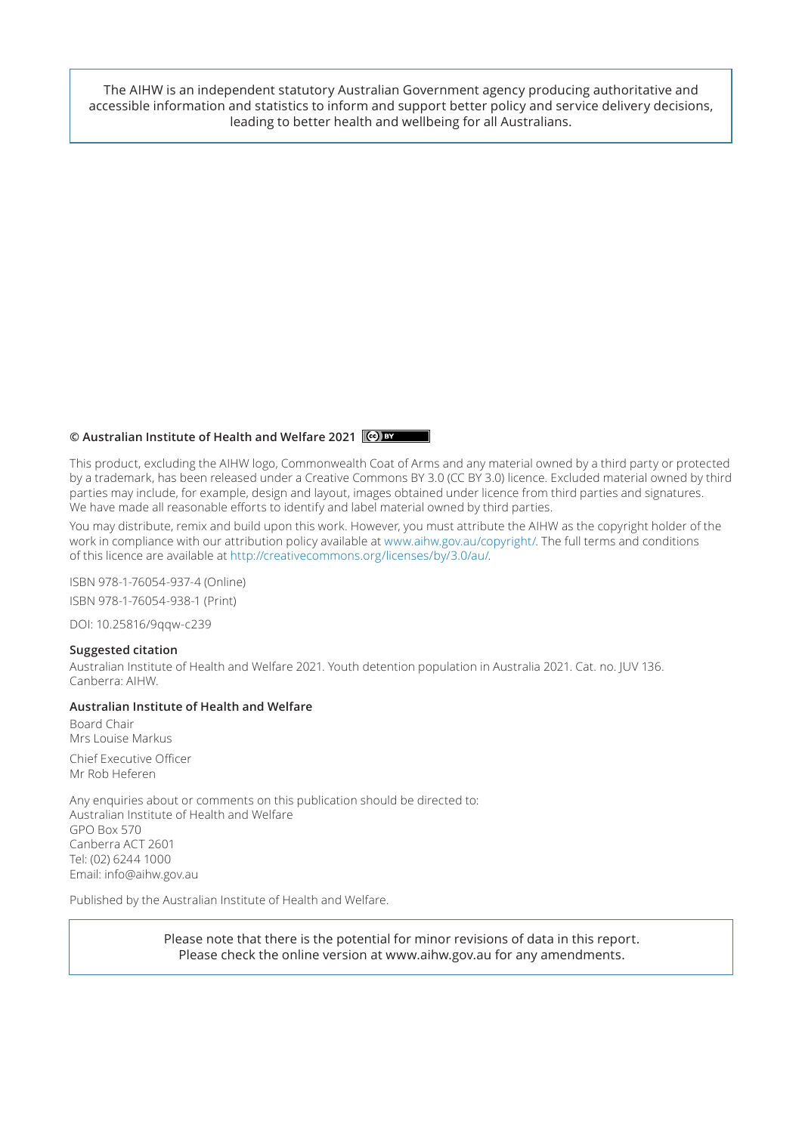The AIHW is an independent statutory Australian Government agency producing authoritative and accessible information and statistics to inform and support better policy and service delivery decisions, leading to better health and wellbeing for all Australians.

#### **© Australian Institute of Health and Welfare 2021**

This product, excluding the AIHW logo, Commonwealth Coat of Arms and any material owned by a third party or protected by a trademark, has been released under a Creative Commons BY 3.0 (CC BY 3.0) licence. Excluded material owned by third parties may include, for example, design and layout, images obtained under licence from third parties and signatures. We have made all reasonable efforts to identify and label material owned by third parties.

You may distribute, remix and build upon this work. However, you must attribute the AIHW as the copyright holder of the work in compliance with our attribution policy available at www.aihw.gov.au/copyright/. The full terms and conditions of this licence are available at http://creativecommons.org/licenses/by/3.0/au/.

ISBN 978-1-76054-937-4 (Online) ISBN 978-1-76054-938-1 (Print)

DOI: 10.25816/9qqw-c239

#### **Suggested citation**

Australian Institute of Health and Welfare 2021. Youth detention population in Australia 2021. Cat. no. JUV 136. Canberra: AIHW.

#### **Australian Institute of Health and Welfare**

Board Chair Mrs Louise Markus

Chief Executive Officer Mr Rob Heferen

Any enquiries about or comments on this publication should be directed to: Australian Institute of Health and Welfare GPO Box 570 Canberra ACT 2601 Tel: (02) 6244 1000 Email: info@aihw.gov.au

Published by the Australian Institute of Health and Welfare.

Please note that there is the potential for minor revisions of data in this report. Please check the online version at www.aihw.gov.au for any amendments.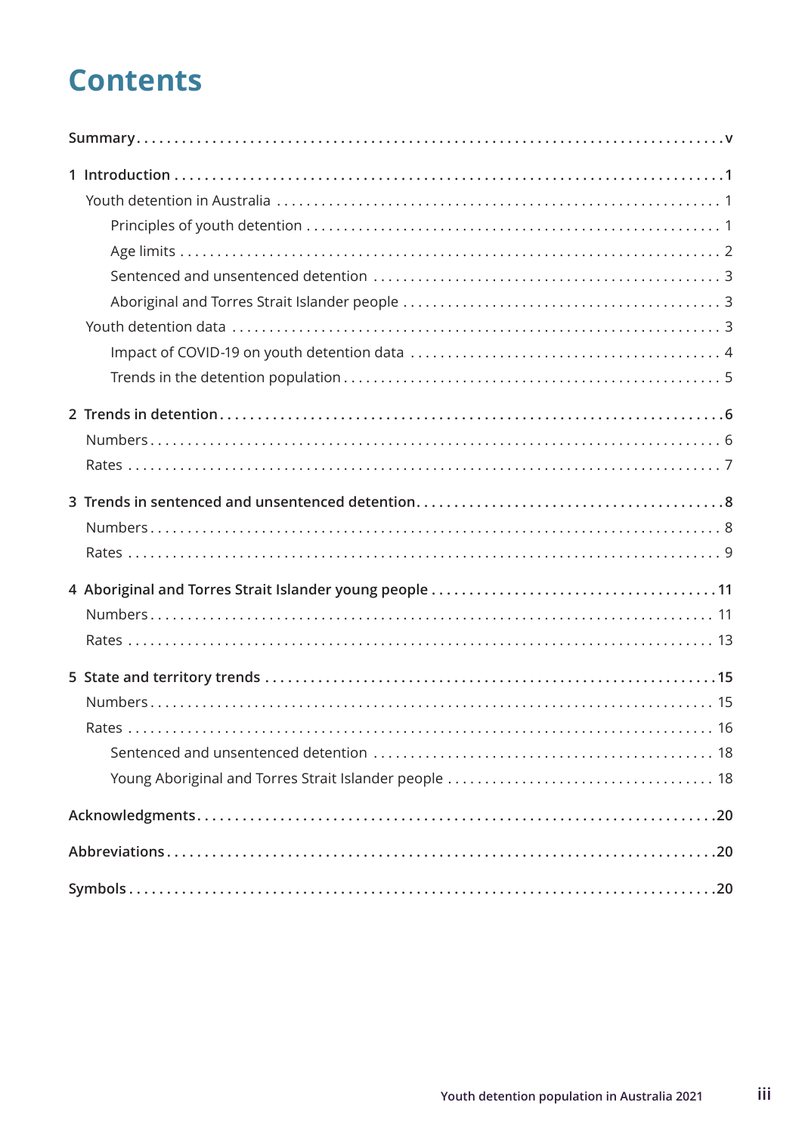## **Contents**

| Rates |
|-------|
|       |
|       |
|       |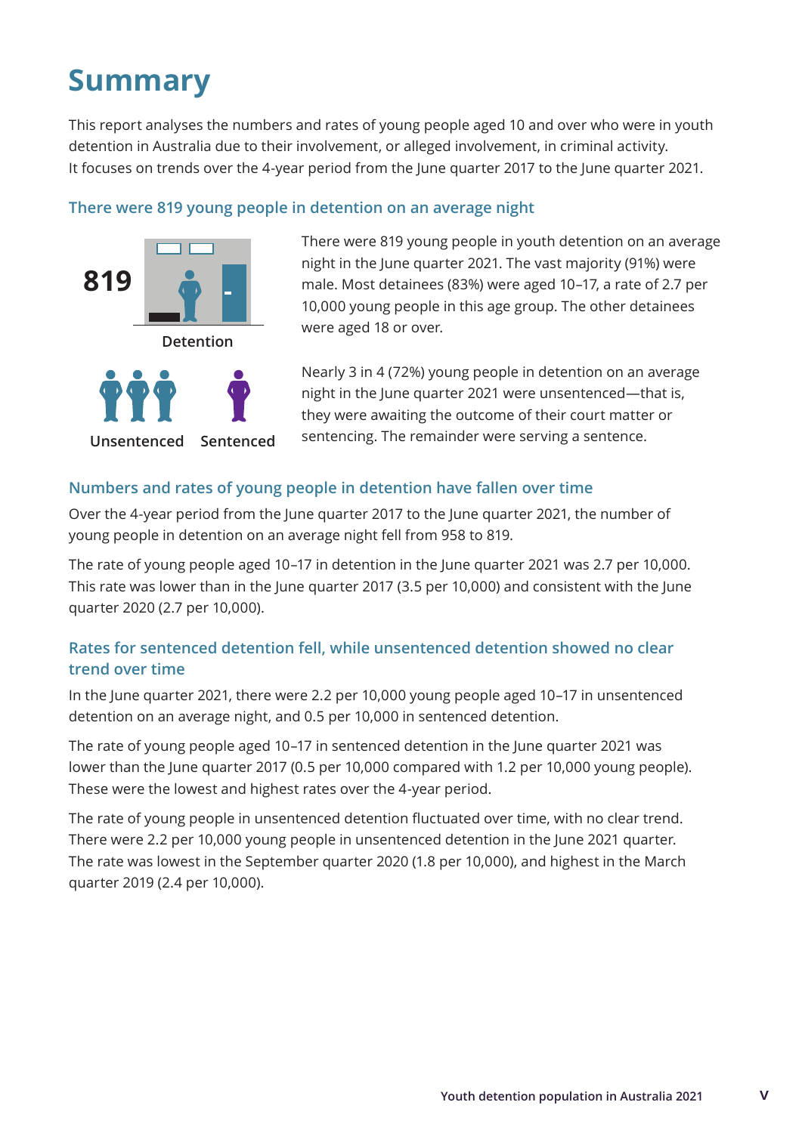## <span id="page-6-0"></span>**Summary**

This report analyses the numbers and rates of young people aged 10 and over who were in youth detention in Australia due to their involvement, or alleged involvement, in criminal activity. It focuses on trends over the 4-year period from the June quarter 2017 to the June quarter 2021.

#### **There were 819 young people in detention on an average night**



There were 819 young people in youth detention on an average night in the June quarter 2021. The vast majority (91%) were male. Most detainees (83%) were aged 10–17, a rate of 2.7 per 10,000 young people in this age group. The other detainees were aged 18 or over.

Nearly 3 in 4 (72%) young people in detention on an average night in the June quarter 2021 were unsentenced—that is, they were awaiting the outcome of their court matter or sentencing. The remainder were serving a sentence.

#### **Numbers and rates of young people in detention have fallen over time**

Over the 4-year period from the June quarter 2017 to the June quarter 2021, the number of young people in detention on an average night fell from 958 to 819.

The rate of young people aged 10–17 in detention in the June quarter 2021 was 2.7 per 10,000. This rate was lower than in the June quarter 2017 (3.5 per 10,000) and consistent with the June quarter 2020 (2.7 per 10,000).

### **Rates for sentenced detention fell, while unsentenced detention showed no clear trend over time**

In the June quarter 2021, there were 2.2 per 10,000 young people aged 10–17 in unsentenced detention on an average night, and 0.5 per 10,000 in sentenced detention.

The rate of young people aged 10–17 in sentenced detention in the June quarter 2021 was lower than the June quarter 2017 (0.5 per 10,000 compared with 1.2 per 10,000 young people). These were the lowest and highest rates over the 4-year period.

The rate of young people in unsentenced detention fluctuated over time, with no clear trend. There were 2.2 per 10,000 young people in unsentenced detention in the June 2021 quarter. The rate was lowest in the September quarter 2020 (1.8 per 10,000), and highest in the March quarter 2019 (2.4 per 10,000).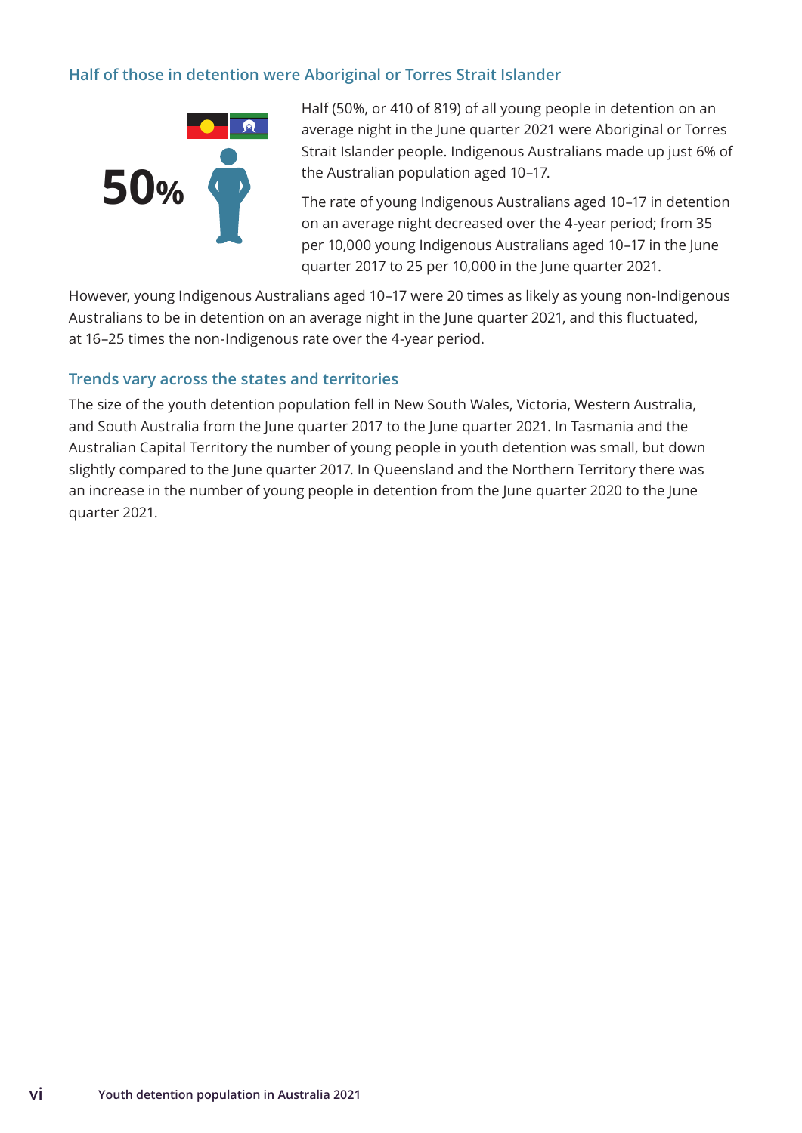### **Half of those in detention were Aboriginal or Torres Strait Islander**



Half (50%, or 410 of 819) of all young people in detention on an average night in the June quarter 2021 were Aboriginal or Torres Strait Islander people. Indigenous Australians made up just 6% of the Australian population aged 10–17.

The rate of young Indigenous Australians aged 10–17 in detention on an average night decreased over the 4-year period; from 35 per 10,000 young Indigenous Australians aged 10–17 in the June quarter 2017 to 25 per 10,000 in the June quarter 2021.

However, young Indigenous Australians aged 10–17 were 20 times as likely as young non-Indigenous Australians to be in detention on an average night in the June quarter 2021, and this fluctuated, at 16–25 times the non-Indigenous rate over the 4-year period.

#### **Trends vary across the states and territories**

The size of the youth detention population fell in New South Wales, Victoria, Western Australia, and South Australia from the June quarter 2017 to the June quarter 2021. In Tasmania and the Australian Capital Territory the number of young people in youth detention was small, but down slightly compared to the June quarter 2017. In Queensland and the Northern Territory there was an increase in the number of young people in detention from the June quarter 2020 to the June quarter 2021.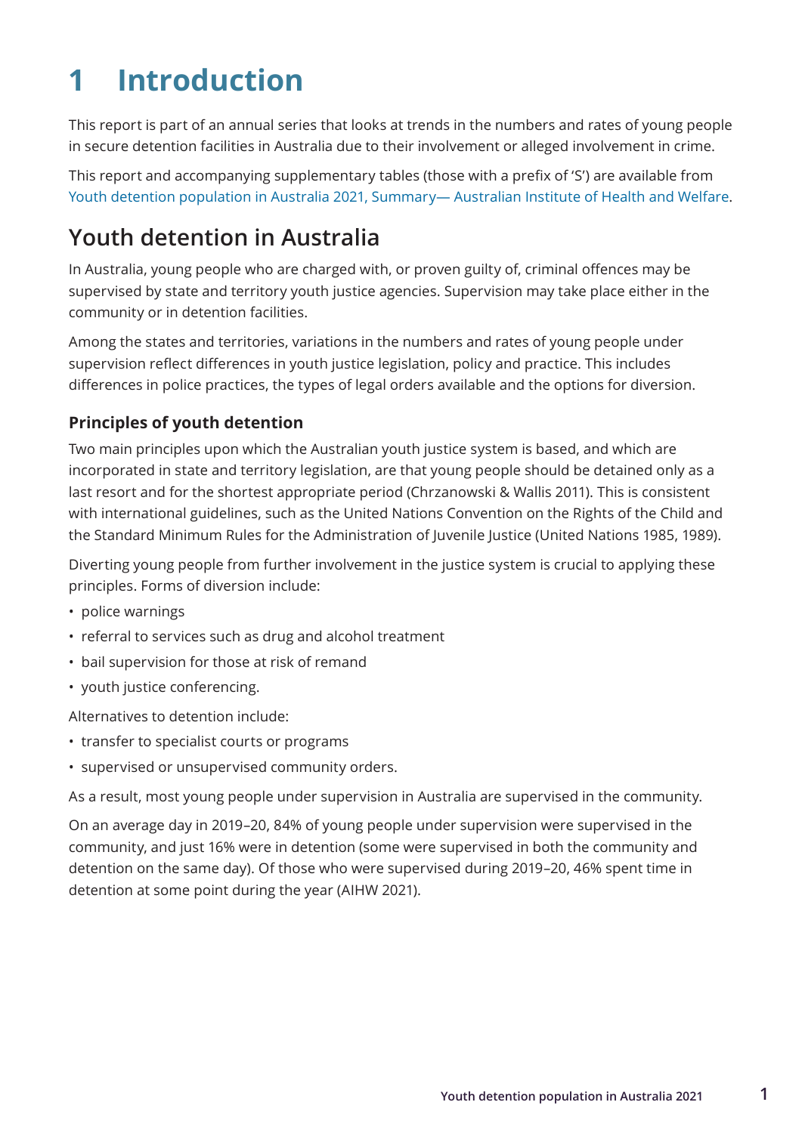## <span id="page-8-0"></span>**1 Introduction**

This report is part of an annual series that looks at trends in the numbers and rates of young people in secure detention facilities in Australia due to their involvement or alleged involvement in crime.

This report and accompanying supplementary tables (those with a prefix of 'S') are available from [Youth detention population in Australia 2021, Summary— Australian Institute of Health and Welfare](https://www.aihw.gov.au/reports/youth-justice/youth-detention-population-in-australia-2021/contents/summary).

## **Youth detention in Australia**

In Australia, young people who are charged with, or proven guilty of, criminal offences may be supervised by state and territory youth justice agencies. Supervision may take place either in the community or in detention facilities.

Among the states and territories, variations in the numbers and rates of young people under supervision reflect differences in youth justice legislation, policy and practice. This includes differences in police practices, the types of legal orders available and the options for diversion.

### **Principles of youth detention**

Two main principles upon which the Australian youth justice system is based, and which are incorporated in state and territory legislation, are that young people should be detained only as a last resort and for the shortest appropriate period (Chrzanowski & Wallis 2011). This is consistent with international guidelines, such as the United Nations Convention on the Rights of the Child and the Standard Minimum Rules for the Administration of Juvenile Justice (United Nations 1985, 1989).

Diverting young people from further involvement in the justice system is crucial to applying these principles. Forms of diversion include:

- police warnings
- referral to services such as drug and alcohol treatment
- bail supervision for those at risk of remand
- youth justice conferencing.

Alternatives to detention include:

- transfer to specialist courts or programs
- supervised or unsupervised community orders.

As a result, most young people under supervision in Australia are supervised in the community.

On an average day in 2019–20, 84% of young people under supervision were supervised in the community, and just 16% were in detention (some were supervised in both the community and detention on the same day). Of those who were supervised during 2019–20, 46% spent time in detention at some point during the year (AIHW 2021).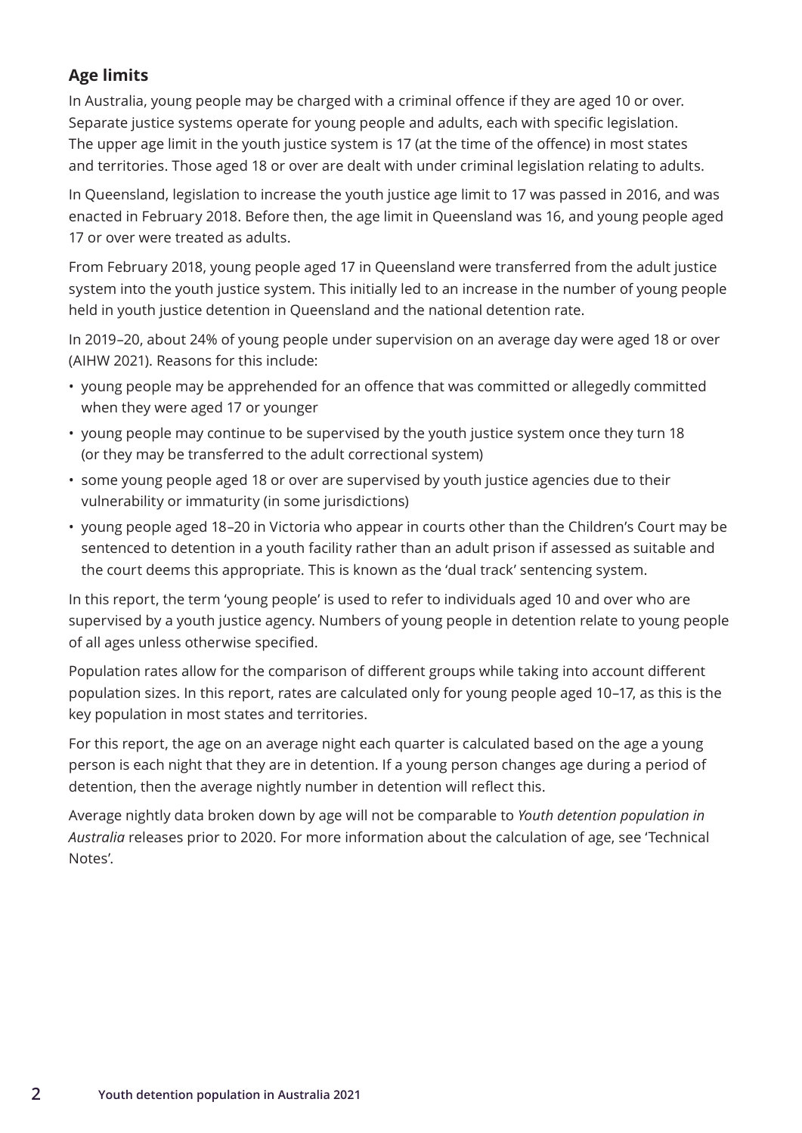### <span id="page-9-0"></span>**Age limits**

In Australia, young people may be charged with a criminal offence if they are aged 10 or over. Separate justice systems operate for young people and adults, each with specific legislation. The upper age limit in the youth justice system is 17 (at the time of the offence) in most states and territories. Those aged 18 or over are dealt with under criminal legislation relating to adults.

In Queensland, legislation to increase the youth justice age limit to 17 was passed in 2016, and was enacted in February 2018. Before then, the age limit in Queensland was 16, and young people aged 17 or over were treated as adults.

From February 2018, young people aged 17 in Queensland were transferred from the adult justice system into the youth justice system. This initially led to an increase in the number of young people held in youth justice detention in Queensland and the national detention rate.

In 2019–20, about 24% of young people under supervision on an average day were aged 18 or over (AIHW 2021). Reasons for this include:

- young people may be apprehended for an offence that was committed or allegedly committed when they were aged 17 or younger
- young people may continue to be supervised by the youth justice system once they turn 18 (or they may be transferred to the adult correctional system)
- some young people aged 18 or over are supervised by youth justice agencies due to their vulnerability or immaturity (in some jurisdictions)
- young people aged 18–20 in Victoria who appear in courts other than the Children's Court may be sentenced to detention in a youth facility rather than an adult prison if assessed as suitable and the court deems this appropriate. This is known as the 'dual track' sentencing system.

In this report, the term 'young people' is used to refer to individuals aged 10 and over who are supervised by a youth justice agency. Numbers of young people in detention relate to young people of all ages unless otherwise specified.

Population rates allow for the comparison of different groups while taking into account different population sizes. In this report, rates are calculated only for young people aged 10–17, as this is the key population in most states and territories.

For this report, the age on an average night each quarter is calculated based on the age a young person is each night that they are in detention. If a young person changes age during a period of detention, then the average nightly number in detention will reflect this.

Average nightly data broken down by age will not be comparable to *Youth detention population in Australia* releases prior to 2020. For more information about the calculation of age, see 'Technical Notes'.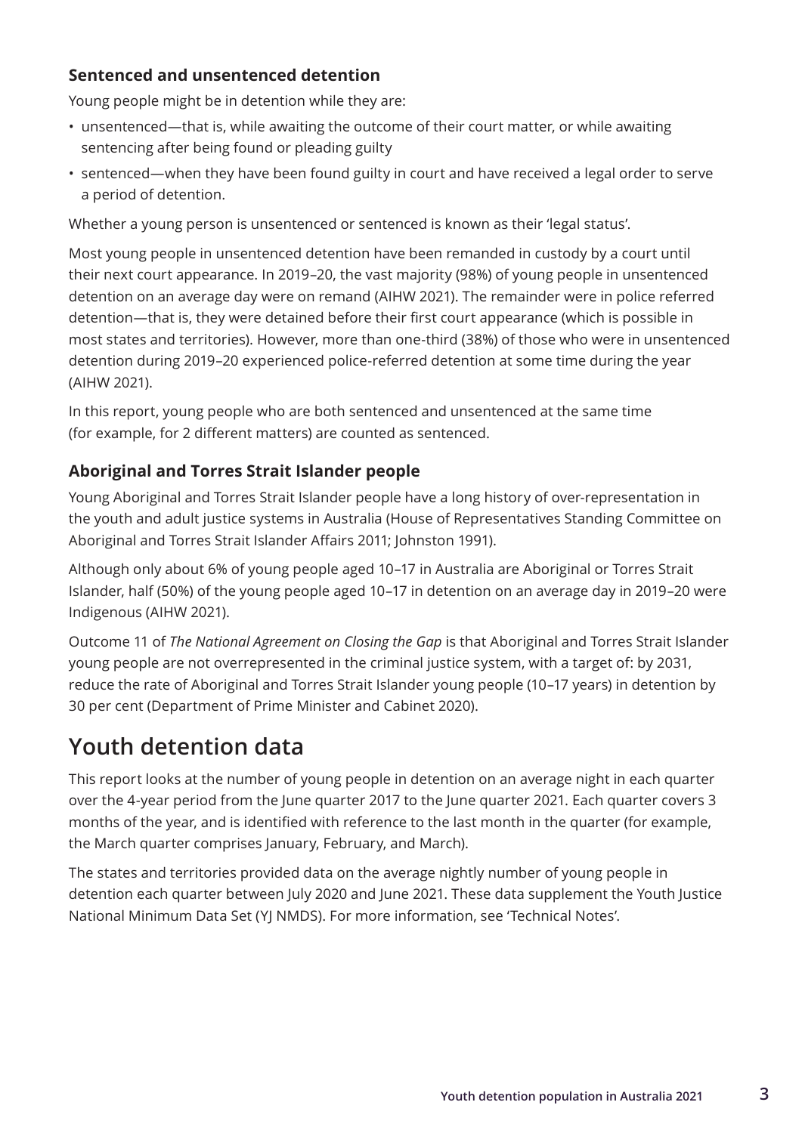### <span id="page-10-0"></span>**Sentenced and unsentenced detention**

Young people might be in detention while they are:

- unsentenced—that is, while awaiting the outcome of their court matter, or while awaiting sentencing after being found or pleading guilty
- sentenced—when they have been found guilty in court and have received a legal order to serve a period of detention.

Whether a young person is unsentenced or sentenced is known as their 'legal status'.

Most young people in unsentenced detention have been remanded in custody by a court until their next court appearance. In 2019–20, the vast majority (98%) of young people in unsentenced detention on an average day were on remand (AIHW 2021). The remainder were in police referred detention—that is, they were detained before their first court appearance (which is possible in most states and territories). However, more than one-third (38%) of those who were in unsentenced detention during 2019–20 experienced police-referred detention at some time during the year (AIHW 2021).

In this report, young people who are both sentenced and unsentenced at the same time (for example, for 2 different matters) are counted as sentenced.

### **Aboriginal and Torres Strait Islander people**

Young Aboriginal and Torres Strait Islander people have a long history of over-representation in the youth and adult justice systems in Australia (House of Representatives Standing Committee on Aboriginal and Torres Strait Islander Affairs 2011; Johnston 1991).

Although only about 6% of young people aged 10–17 in Australia are Aboriginal or Torres Strait Islander, half (50%) of the young people aged 10–17 in detention on an average day in 2019–20 were Indigenous (AIHW 2021).

Outcome 11 of *The National Agreement on Closing the Gap* is that Aboriginal and Torres Strait Islander young people are not overrepresented in the criminal justice system, with a target of: by 2031, reduce the rate of Aboriginal and Torres Strait Islander young people (10–17 years) in detention by 30 per cent (Department of Prime Minister and Cabinet 2020).

## **Youth detention data**

This report looks at the number of young people in detention on an average night in each quarter over the 4-year period from the June quarter 2017 to the June quarter 2021. Each quarter covers 3 months of the year, and is identified with reference to the last month in the quarter (for example, the March quarter comprises January, February, and March).

The states and territories provided data on the average nightly number of young people in detention each quarter between July 2020 and June 2021. These data supplement the Youth Justice National Minimum Data Set (YJ NMDS). For more information, see 'Technical Notes'.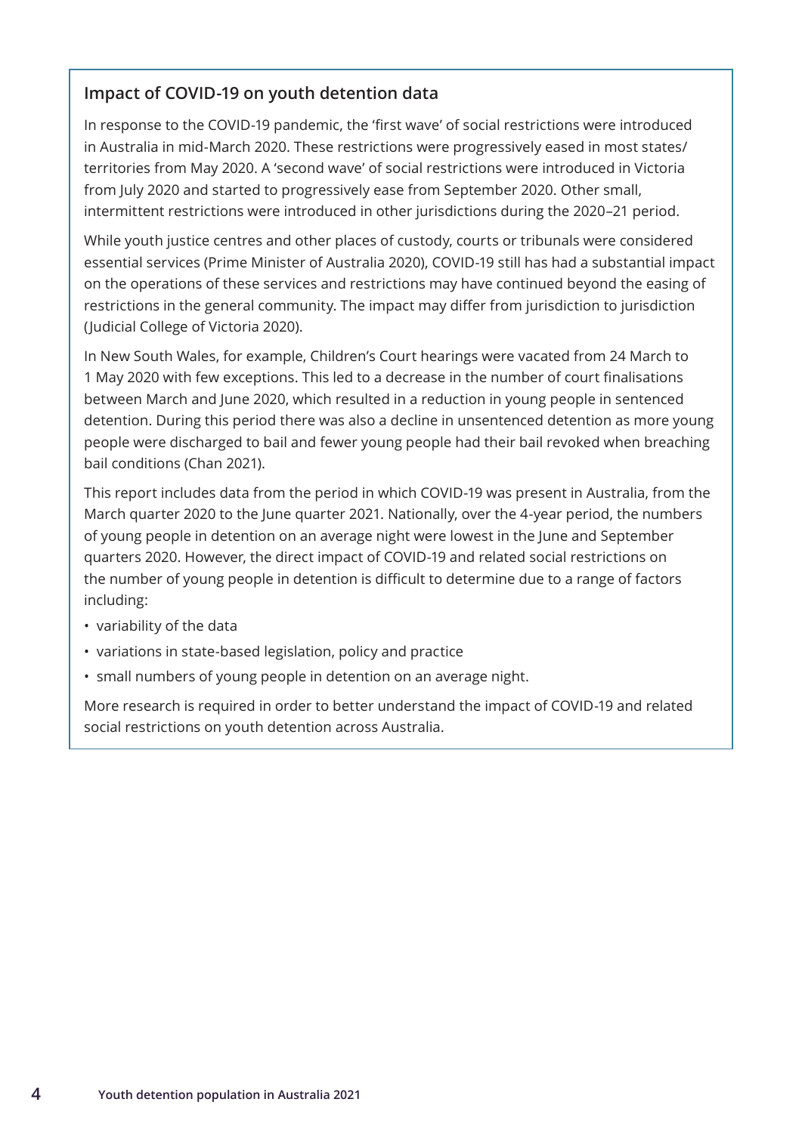### <span id="page-11-0"></span>**Impact of COVID-19 on youth detention data**

In response to the COVID-19 pandemic, the 'first wave' of social restrictions were introduced in Australia in mid-March 2020. These restrictions were progressively eased in most states/ territories from May 2020. A 'second wave' of social restrictions were introduced in Victoria from July 2020 and started to progressively ease from September 2020. Other small, intermittent restrictions were introduced in other jurisdictions during the 2020–21 period.

While youth justice centres and other places of custody, courts or tribunals were considered essential services (Prime Minister of Australia 2020), COVID-19 still has had a substantial impact on the operations of these services and restrictions may have continued beyond the easing of restrictions in the general community. The impact may differ from jurisdiction to jurisdiction (Judicial College of Victoria 2020).

In New South Wales, for example, Children's Court hearings were vacated from 24 March to 1 May 2020 with few exceptions. This led to a decrease in the number of court finalisations between March and June 2020, which resulted in a reduction in young people in sentenced detention. During this period there was also a decline in unsentenced detention as more young people were discharged to bail and fewer young people had their bail revoked when breaching bail conditions (Chan 2021).

This report includes data from the period in which COVID-19 was present in Australia, from the March quarter 2020 to the June quarter 2021. Nationally, over the 4-year period, the numbers of young people in detention on an average night were lowest in the June and September quarters 2020. However, the direct impact of COVID-19 and related social restrictions on the number of young people in detention is difficult to determine due to a range of factors including:

- variability of the data
- variations in state-based legislation, policy and practice
- small numbers of young people in detention on an average night.

More research is required in order to better understand the impact of COVID-19 and related social restrictions on youth detention across Australia.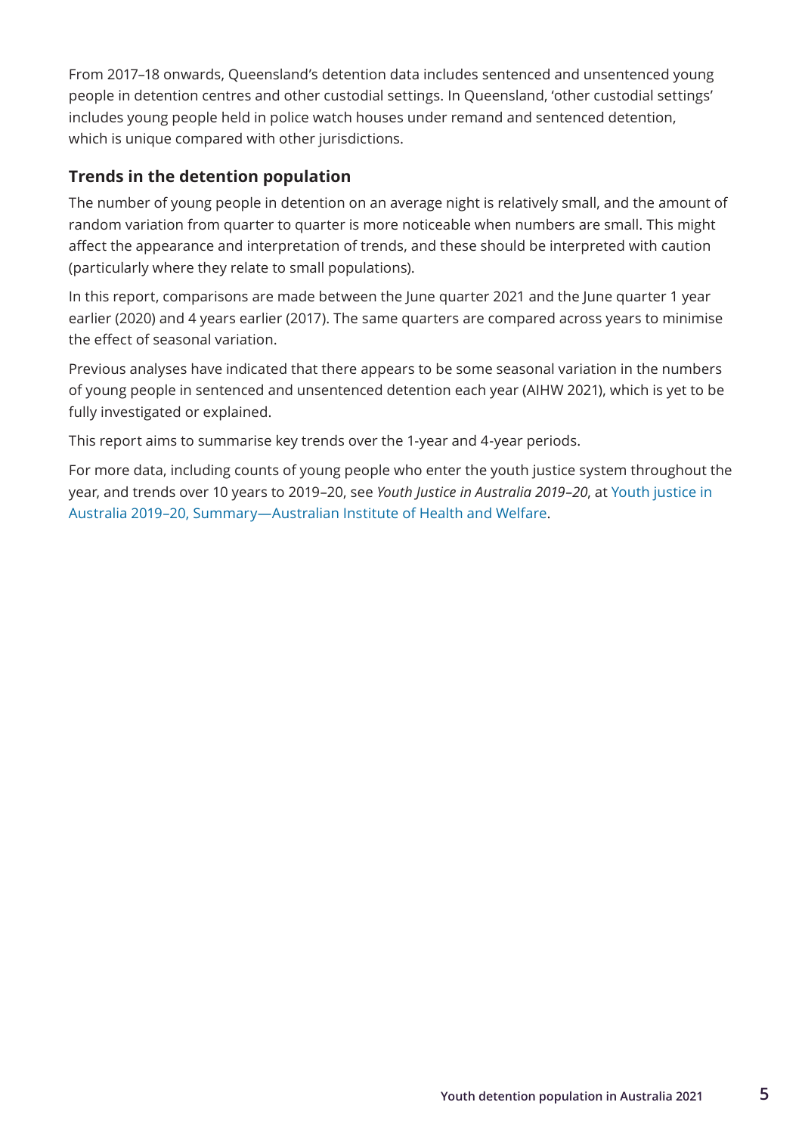<span id="page-12-0"></span>From 2017–18 onwards, Queensland's detention data includes sentenced and unsentenced young people in detention centres and other custodial settings. In Queensland, 'other custodial settings' includes young people held in police watch houses under remand and sentenced detention, which is unique compared with other jurisdictions.

### **Trends in the detention population**

The number of young people in detention on an average night is relatively small, and the amount of random variation from quarter to quarter is more noticeable when numbers are small. This might affect the appearance and interpretation of trends, and these should be interpreted with caution (particularly where they relate to small populations).

In this report, comparisons are made between the June quarter 2021 and the June quarter 1 year earlier (2020) and 4 years earlier (2017). The same quarters are compared across years to minimise the effect of seasonal variation.

Previous analyses have indicated that there appears to be some seasonal variation in the numbers of young people in sentenced and unsentenced detention each year (AIHW 2021), which is yet to be fully investigated or explained.

This report aims to summarise key trends over the 1-year and 4-year periods.

For more data, including counts of young people who enter the youth justice system throughout the year, and trends over 10 years to 2019–20, see *Youth Justice in Australia 2019–20*, at [Youth justice in](https://www.aihw.gov.au/reports/youth-justice/youth-justice-in-australia-2019-20/contents/summary)  [Australia 2019–20, Summary—Australian Institute of Health and Welfare](https://www.aihw.gov.au/reports/youth-justice/youth-justice-in-australia-2019-20/contents/summary).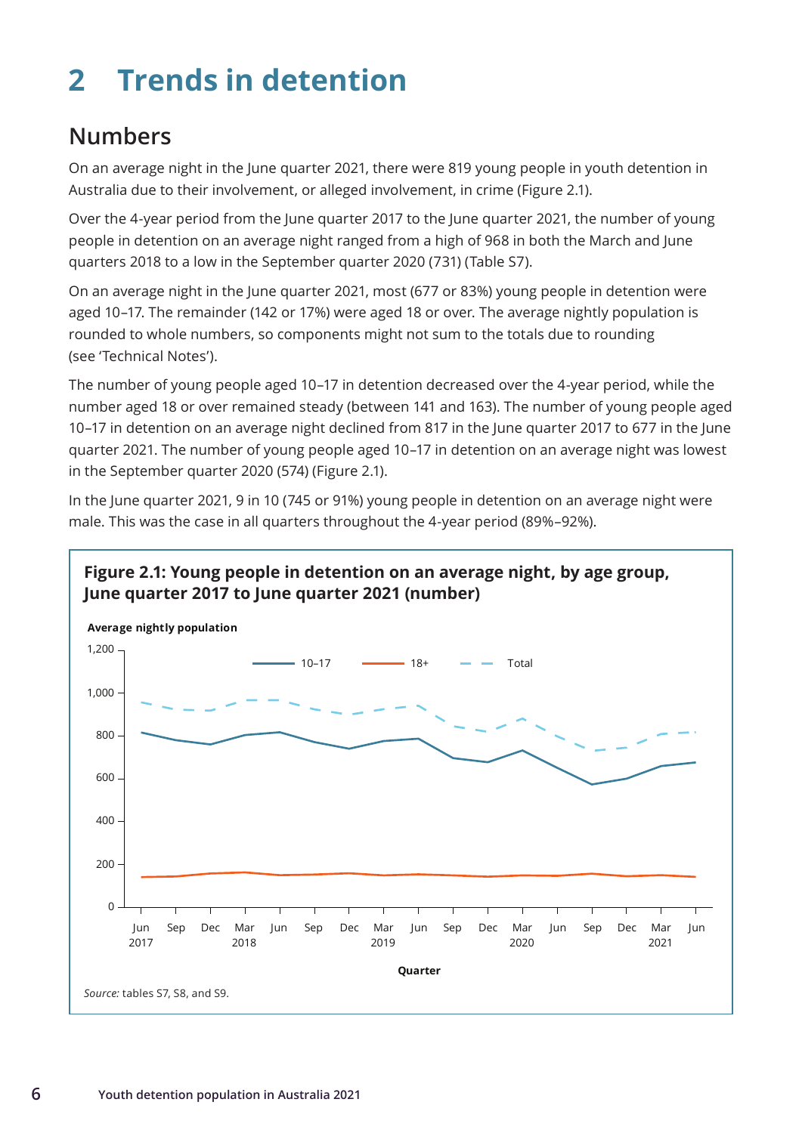## <span id="page-13-0"></span>**2 Trends in detention**

## **Numbers**

On an average night in the June quarter 2021, there were 819 young people in youth detention in Australia due to their involvement, or alleged involvement, in crime (Figure 2.1).

Over the 4-year period from the June quarter 2017 to the June quarter 2021, the number of young people in detention on an average night ranged from a high of 968 in both the March and June quarters 2018 to a low in the September quarter 2020 (731) (Table S7).

On an average night in the June quarter 2021, most (677 or 83%) young people in detention were aged 10–17. The remainder (142 or 17%) were aged 18 or over. The average nightly population is rounded to whole numbers, so components might not sum to the totals due to rounding (see 'Technical Notes').

The number of young people aged 10–17 in detention decreased over the 4-year period, while the number aged 18 or over remained steady (between 141 and 163). The number of young people aged 10–17 in detention on an average night declined from 817 in the June quarter 2017 to 677 in the June quarter 2021. The number of young people aged 10–17 in detention on an average night was lowest in the September quarter 2020 (574) (Figure 2.1).

In the June quarter 2021, 9 in 10 (745 or 91%) young people in detention on an average night were male. This was the case in all quarters throughout the 4-year period (89%–92%).

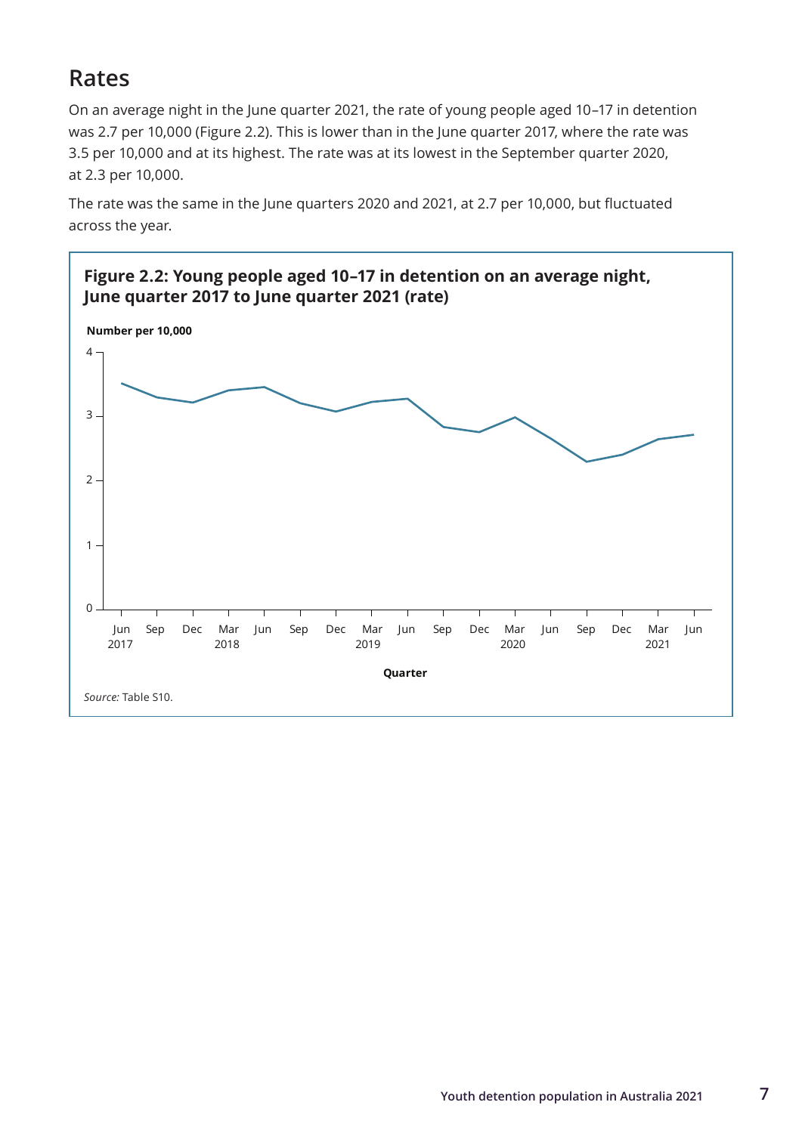## <span id="page-14-0"></span>**Rates**

On an average night in the June quarter 2021, the rate of young people aged 10–17 in detention was 2.7 per 10,000 (Figure 2.2). This is lower than in the June quarter 2017, where the rate was 3.5 per 10,000 and at its highest. The rate was at its lowest in the September quarter 2020, at 2.3 per 10,000.

The rate was the same in the June quarters 2020 and 2021, at 2.7 per 10,000, but fluctuated across the year.

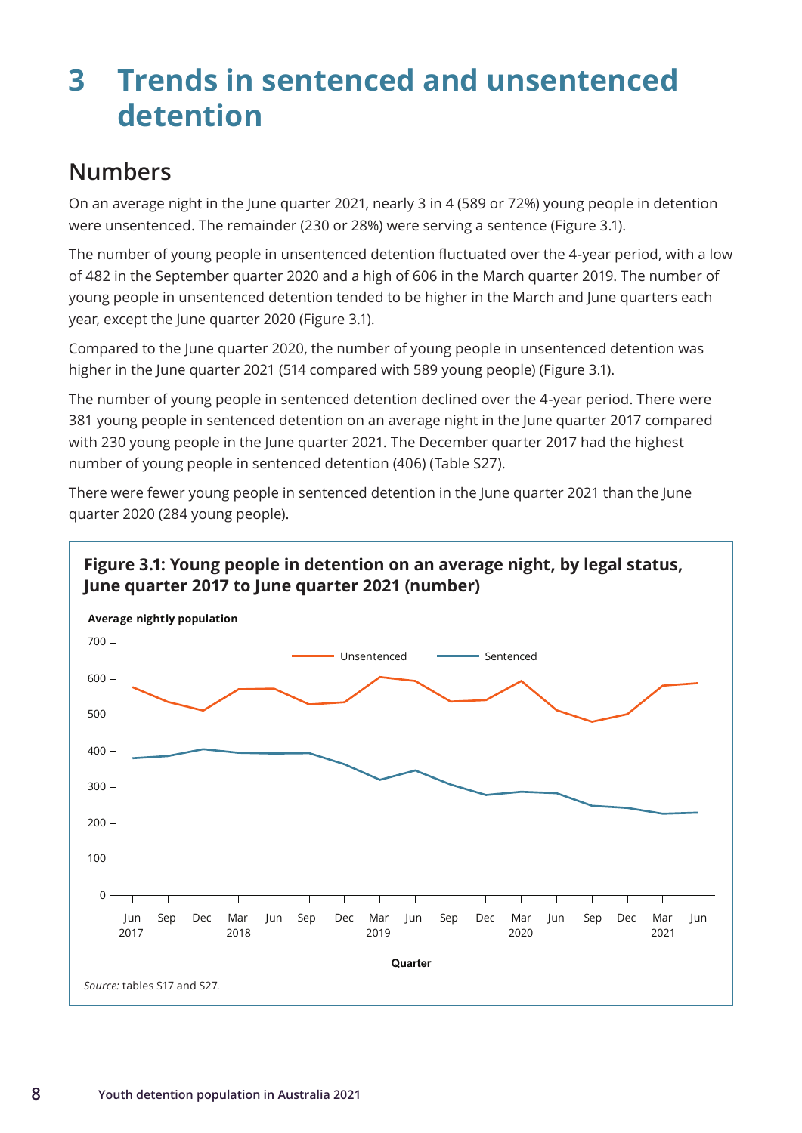## <span id="page-15-0"></span>**3 Trends in sentenced and unsentenced detention**

## **Numbers**

On an average night in the June quarter 2021, nearly 3 in 4 (589 or 72%) young people in detention were unsentenced. The remainder (230 or 28%) were serving a sentence (Figure 3.1).

The number of young people in unsentenced detention fluctuated over the 4-year period, with a low of 482 in the September quarter 2020 and a high of 606 in the March quarter 2019. The number of young people in unsentenced detention tended to be higher in the March and June quarters each year, except the June quarter 2020 (Figure 3.1).

Compared to the June quarter 2020, the number of young people in unsentenced detention was higher in the June quarter 2021 (514 compared with 589 young people) (Figure 3.1).

The number of young people in sentenced detention declined over the 4-year period. There were 381 young people in sentenced detention on an average night in the June quarter 2017 compared with 230 young people in the June quarter 2021. The December quarter 2017 had the highest number of young people in sentenced detention (406) (Table S27).

There were fewer young people in sentenced detention in the June quarter 2021 than the June quarter 2020 (284 young people).

### **Figure 3.1: Young people in detention on an average night, by legal status, June quarter 2017 to June quarter 2021 (number)**

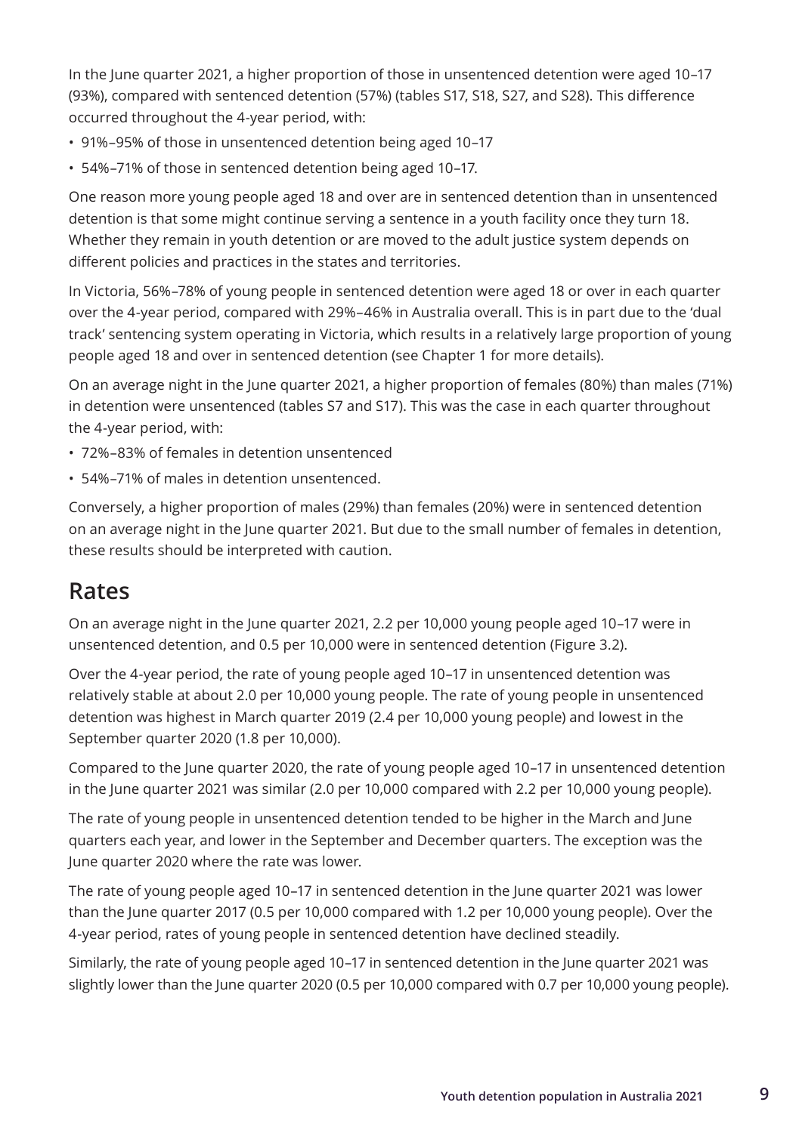<span id="page-16-0"></span>In the June quarter 2021, a higher proportion of those in unsentenced detention were aged 10–17 (93%), compared with sentenced detention (57%) (tables S17, S18, S27, and S28). This difference occurred throughout the 4-year period, with:

- 91%–95% of those in unsentenced detention being aged 10–17
- 54%–71% of those in sentenced detention being aged 10–17.

One reason more young people aged 18 and over are in sentenced detention than in unsentenced detention is that some might continue serving a sentence in a youth facility once they turn 18. Whether they remain in youth detention or are moved to the adult justice system depends on different policies and practices in the states and territories.

In Victoria, 56%–78% of young people in sentenced detention were aged 18 or over in each quarter over the 4-year period, compared with 29%–46% in Australia overall. This is in part due to the 'dual track' sentencing system operating in Victoria, which results in a relatively large proportion of young people aged 18 and over in sentenced detention (see Chapter 1 for more details).

On an average night in the June quarter 2021, a higher proportion of females (80%) than males (71%) in detention were unsentenced (tables S7 and S17). This was the case in each quarter throughout the 4-year period, with:

- 72%–83% of females in detention unsentenced
- 54%–71% of males in detention unsentenced.

Conversely, a higher proportion of males (29%) than females (20%) were in sentenced detention on an average night in the June quarter 2021. But due to the small number of females in detention, these results should be interpreted with caution.

## **Rates**

On an average night in the June quarter 2021, 2.2 per 10,000 young people aged 10–17 were in unsentenced detention, and 0.5 per 10,000 were in sentenced detention (Figure 3.2).

Over the 4-year period, the rate of young people aged 10–17 in unsentenced detention was relatively stable at about 2.0 per 10,000 young people. The rate of young people in unsentenced detention was highest in March quarter 2019 (2.4 per 10,000 young people) and lowest in the September quarter 2020 (1.8 per 10,000).

Compared to the June quarter 2020, the rate of young people aged 10–17 in unsentenced detention in the June quarter 2021 was similar (2.0 per 10,000 compared with 2.2 per 10,000 young people).

The rate of young people in unsentenced detention tended to be higher in the March and June quarters each year, and lower in the September and December quarters. The exception was the June quarter 2020 where the rate was lower.

The rate of young people aged 10–17 in sentenced detention in the June quarter 2021 was lower than the June quarter 2017 (0.5 per 10,000 compared with 1.2 per 10,000 young people). Over the 4-year period, rates of young people in sentenced detention have declined steadily.

Similarly, the rate of young people aged 10–17 in sentenced detention in the June quarter 2021 was slightly lower than the June quarter 2020 (0.5 per 10,000 compared with 0.7 per 10,000 young people).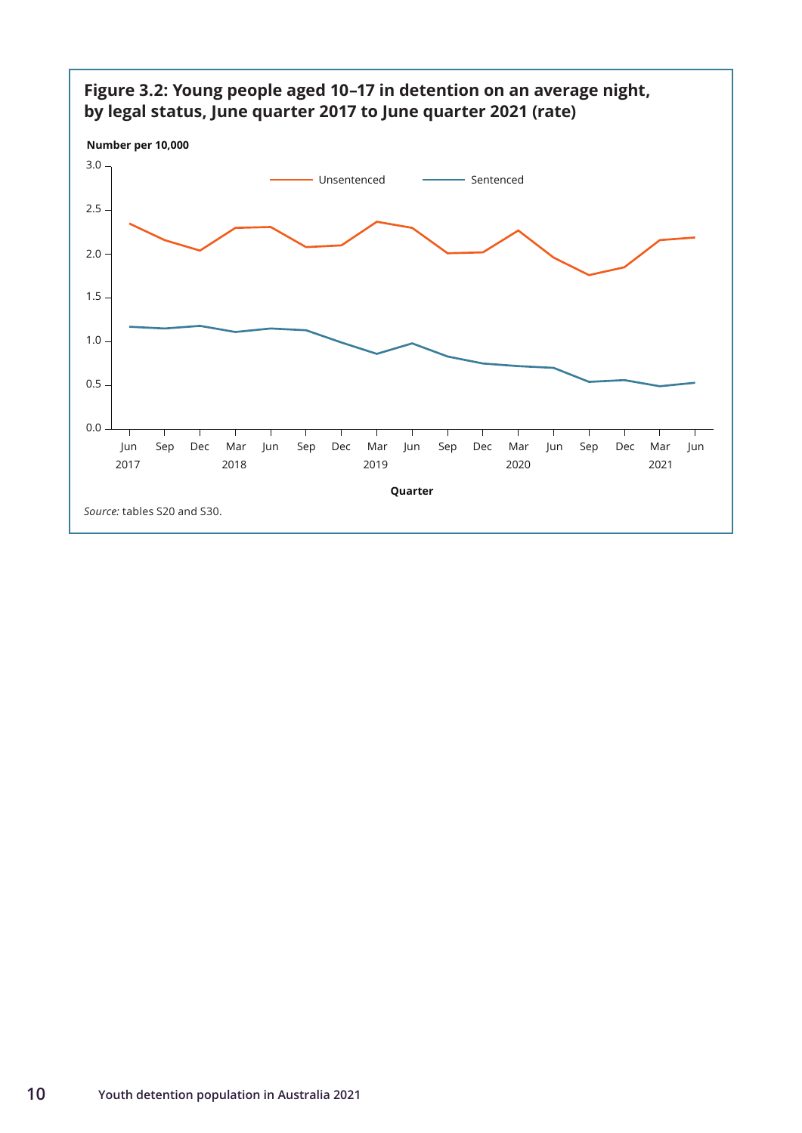

#### **10 Youth detention population in Australia 2021**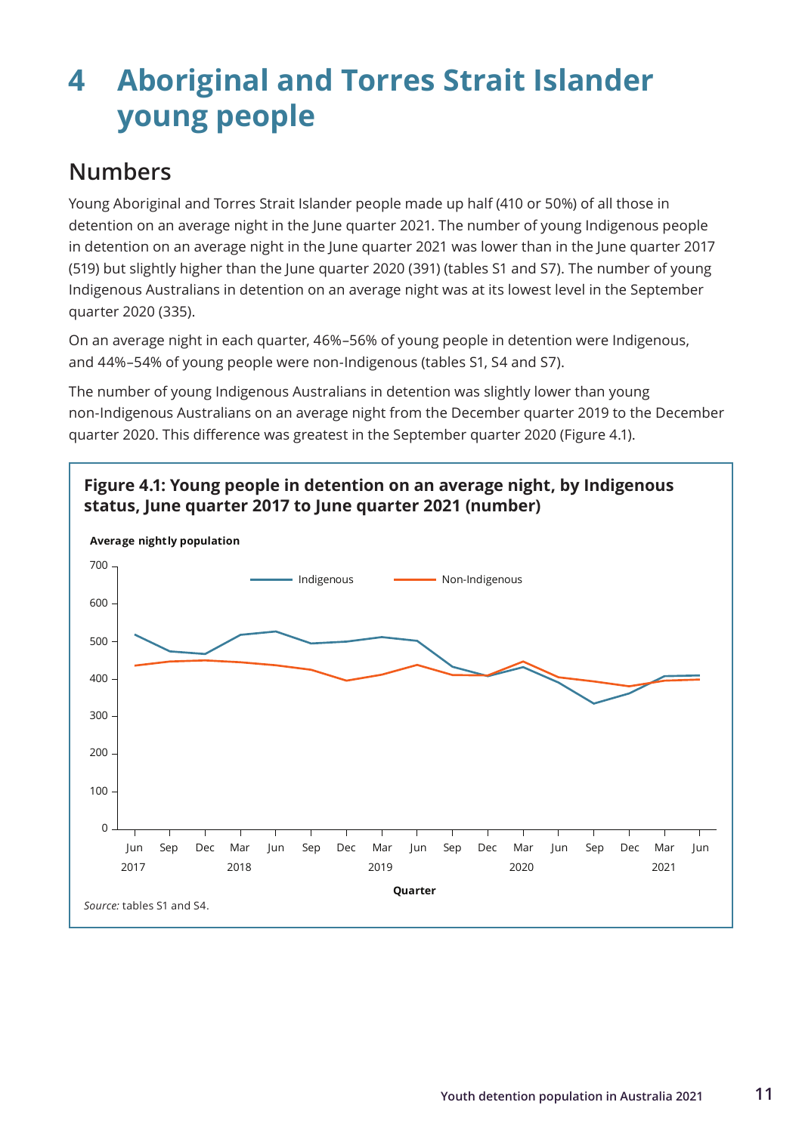## <span id="page-18-0"></span>**4 Aboriginal and Torres Strait Islander young people**

## **Numbers**

Young Aboriginal and Torres Strait Islander people made up half (410 or 50%) of all those in detention on an average night in the June quarter 2021. The number of young Indigenous people in detention on an average night in the June quarter 2021 was lower than in the June quarter 2017 (519) but slightly higher than the June quarter 2020 (391) (tables S1 and S7). The number of young Indigenous Australians in detention on an average night was at its lowest level in the September quarter 2020 (335).

On an average night in each quarter, 46%–56% of young people in detention were Indigenous, and 44%–54% of young people were non-Indigenous (tables S1, S4 and S7).

The number of young Indigenous Australians in detention was slightly lower than young non-Indigenous Australians on an average night from the December quarter 2019 to the December quarter 2020. This difference was greatest in the September quarter 2020 (Figure 4.1).



**Figure 4.1: Young people in detention on an average night, by Indigenous**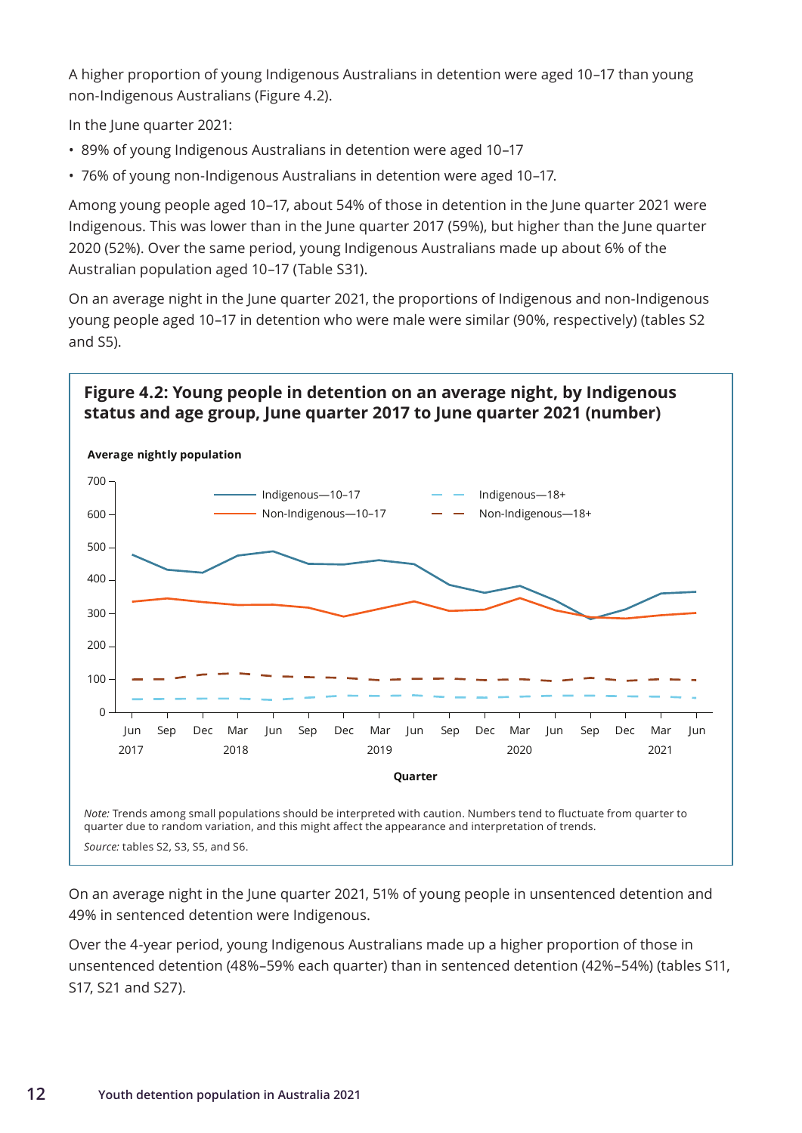A higher proportion of young Indigenous Australians in detention were aged 10–17 than young non-Indigenous Australians (Figure 4.2).

In the June quarter 2021:

- 89% of young Indigenous Australians in detention were aged 10–17
- 76% of young non-Indigenous Australians in detention were aged 10–17.

Among young people aged 10–17, about 54% of those in detention in the June quarter 2021 were Indigenous. This was lower than in the June quarter 2017 (59%), but higher than the June quarter 2020 (52%). Over the same period, young Indigenous Australians made up about 6% of the Australian population aged 10–17 (Table S31).

On an average night in the June quarter 2021, the proportions of Indigenous and non-Indigenous young people aged 10–17 in detention who were male were similar (90%, respectively) (tables S2 and S5).

### **Figure 4.2: Young people in detention on an average night, by Indigenous status and age group, June quarter 2017 to June quarter 2021 (number)**



On an average night in the June quarter 2021, 51% of young people in unsentenced detention and 49% in sentenced detention were Indigenous.

Over the 4-year period, young Indigenous Australians made up a higher proportion of those in unsentenced detention (48%–59% each quarter) than in sentenced detention (42%–54%) (tables S11, S17, S21 and S27).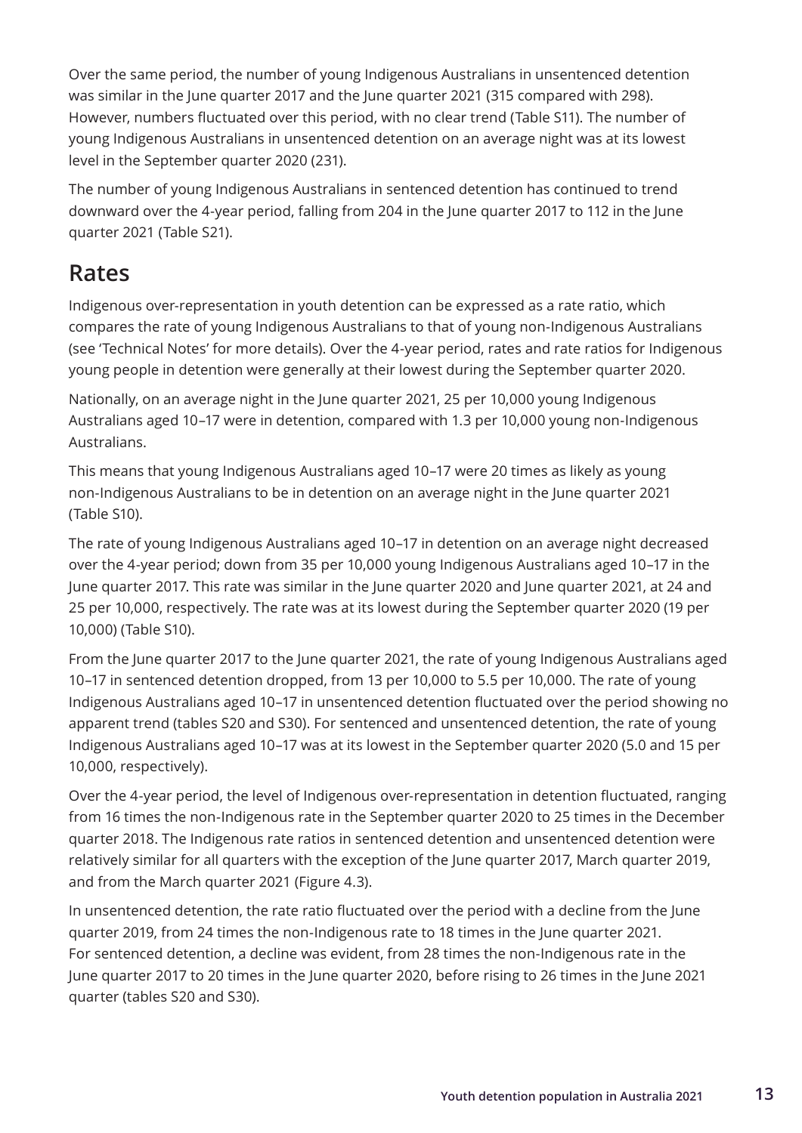<span id="page-20-0"></span>Over the same period, the number of young Indigenous Australians in unsentenced detention was similar in the June quarter 2017 and the June quarter 2021 (315 compared with 298). However, numbers fluctuated over this period, with no clear trend (Table S11). The number of young Indigenous Australians in unsentenced detention on an average night was at its lowest level in the September quarter 2020 (231).

The number of young Indigenous Australians in sentenced detention has continued to trend downward over the 4-year period, falling from 204 in the June quarter 2017 to 112 in the June quarter 2021 (Table S21).

### **Rates**

Indigenous over-representation in youth detention can be expressed as a rate ratio, which compares the rate of young Indigenous Australians to that of young non-Indigenous Australians (see 'Technical Notes' for more details). Over the 4-year period, rates and rate ratios for Indigenous young people in detention were generally at their lowest during the September quarter 2020.

Nationally, on an average night in the June quarter 2021, 25 per 10,000 young Indigenous Australians aged 10–17 were in detention, compared with 1.3 per 10,000 young non-Indigenous Australians.

This means that young Indigenous Australians aged 10–17 were 20 times as likely as young non-Indigenous Australians to be in detention on an average night in the June quarter 2021 (Table S10).

The rate of young Indigenous Australians aged 10–17 in detention on an average night decreased over the 4-year period; down from 35 per 10,000 young Indigenous Australians aged 10–17 in the June quarter 2017. This rate was similar in the June quarter 2020 and June quarter 2021, at 24 and 25 per 10,000, respectively. The rate was at its lowest during the September quarter 2020 (19 per 10,000) (Table S10).

From the June quarter 2017 to the June quarter 2021, the rate of young Indigenous Australians aged 10–17 in sentenced detention dropped, from 13 per 10,000 to 5.5 per 10,000. The rate of young Indigenous Australians aged 10–17 in unsentenced detention fluctuated over the period showing no apparent trend (tables S20 and S30). For sentenced and unsentenced detention, the rate of young Indigenous Australians aged 10–17 was at its lowest in the September quarter 2020 (5.0 and 15 per 10,000, respectively).

Over the 4-year period, the level of Indigenous over-representation in detention fluctuated, ranging from 16 times the non-Indigenous rate in the September quarter 2020 to 25 times in the December quarter 2018. The Indigenous rate ratios in sentenced detention and unsentenced detention were relatively similar for all quarters with the exception of the June quarter 2017, March quarter 2019, and from the March quarter 2021 (Figure 4.3).

In unsentenced detention, the rate ratio fluctuated over the period with a decline from the June quarter 2019, from 24 times the non-Indigenous rate to 18 times in the June quarter 2021. For sentenced detention, a decline was evident, from 28 times the non-Indigenous rate in the June quarter 2017 to 20 times in the June quarter 2020, before rising to 26 times in the June 2021 quarter (tables S20 and S30).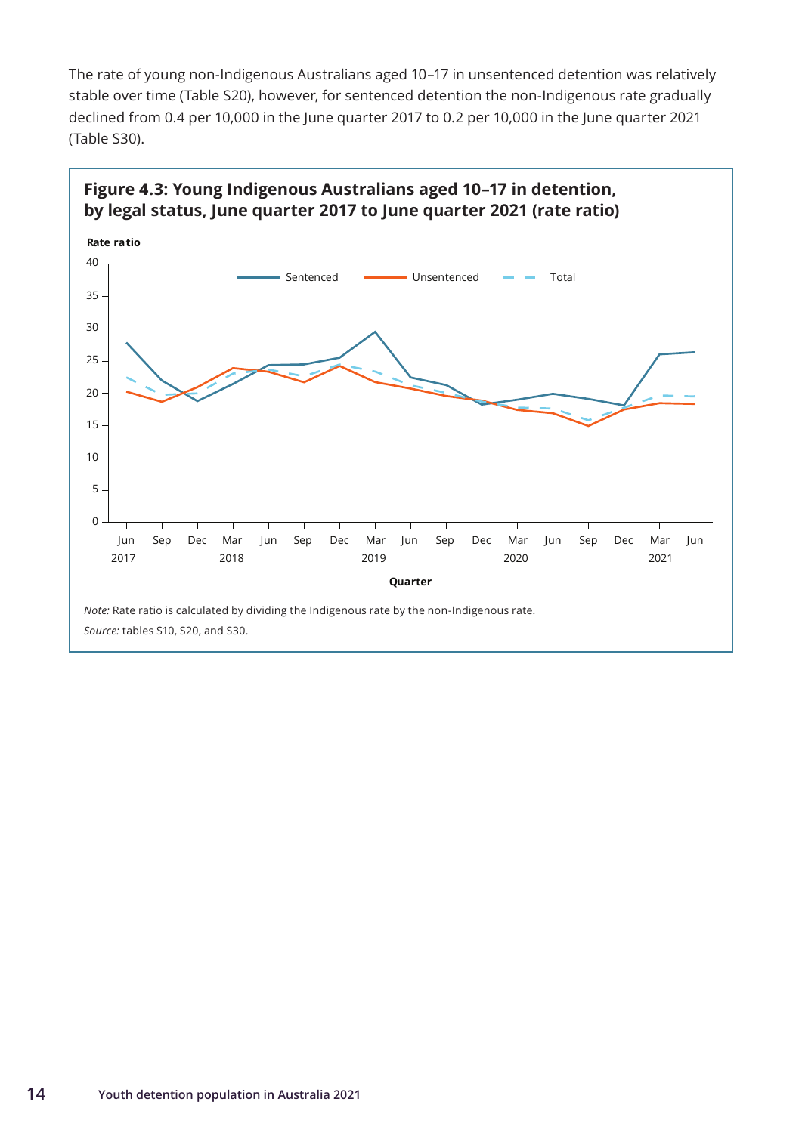The rate of young non-Indigenous Australians aged 10–17 in unsentenced detention was relatively stable over time (Table S20), however, for sentenced detention the non-Indigenous rate gradually declined from 0.4 per 10,000 in the June quarter 2017 to 0.2 per 10,000 in the June quarter 2021 (Table S30).



#### **14 Youth detention population in Australia 2021**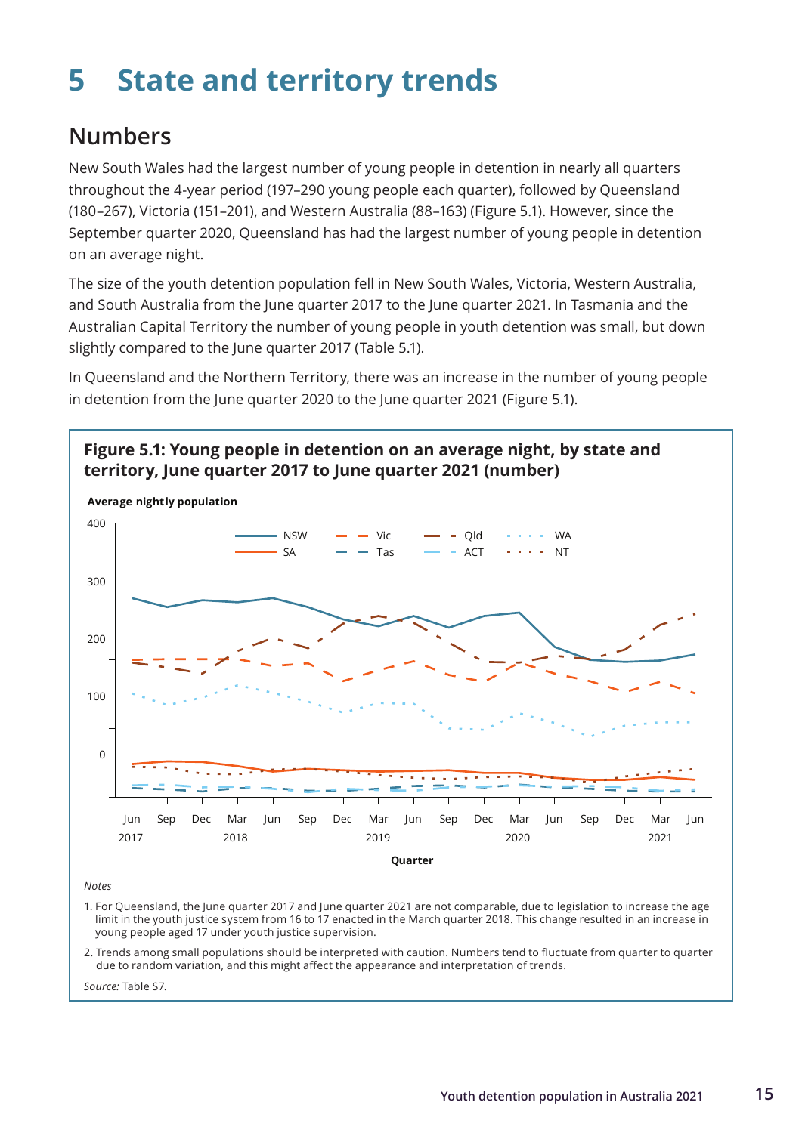## <span id="page-22-0"></span>**5 State and territory trends**

## **Numbers**

New South Wales had the largest number of young people in detention in nearly all quarters throughout the 4-year period (197–290 young people each quarter), followed by Queensland (180–267), Victoria (151–201), and Western Australia (88–163) (Figure 5.1). However, since the September quarter 2020, Queensland has had the largest number of young people in detention on an average night.

The size of the youth detention population fell in New South Wales, Victoria, Western Australia, and South Australia from the June quarter 2017 to the June quarter 2021. In Tasmania and the Australian Capital Territory the number of young people in youth detention was small, but down slightly compared to the June quarter 2017 (Table 5.1).

In Queensland and the Northern Territory, there was an increase in the number of young people in detention from the June quarter 2020 to the June quarter 2021 (Figure 5.1).



*Notes*

1. For Queensland, the June quarter 2017 and June quarter 2021 are not comparable, due to legislation to increase the age limit in the youth justice system from 16 to 17 enacted in the March quarter 2018. This change resulted in an increase in young people aged 17 under youth justice supervision.

2. Trends among small populations should be interpreted with caution. Numbers tend to fluctuate from quarter to quarter due to random variation, and this might affect the appearance and interpretation of trends.

*Source:* Table S7.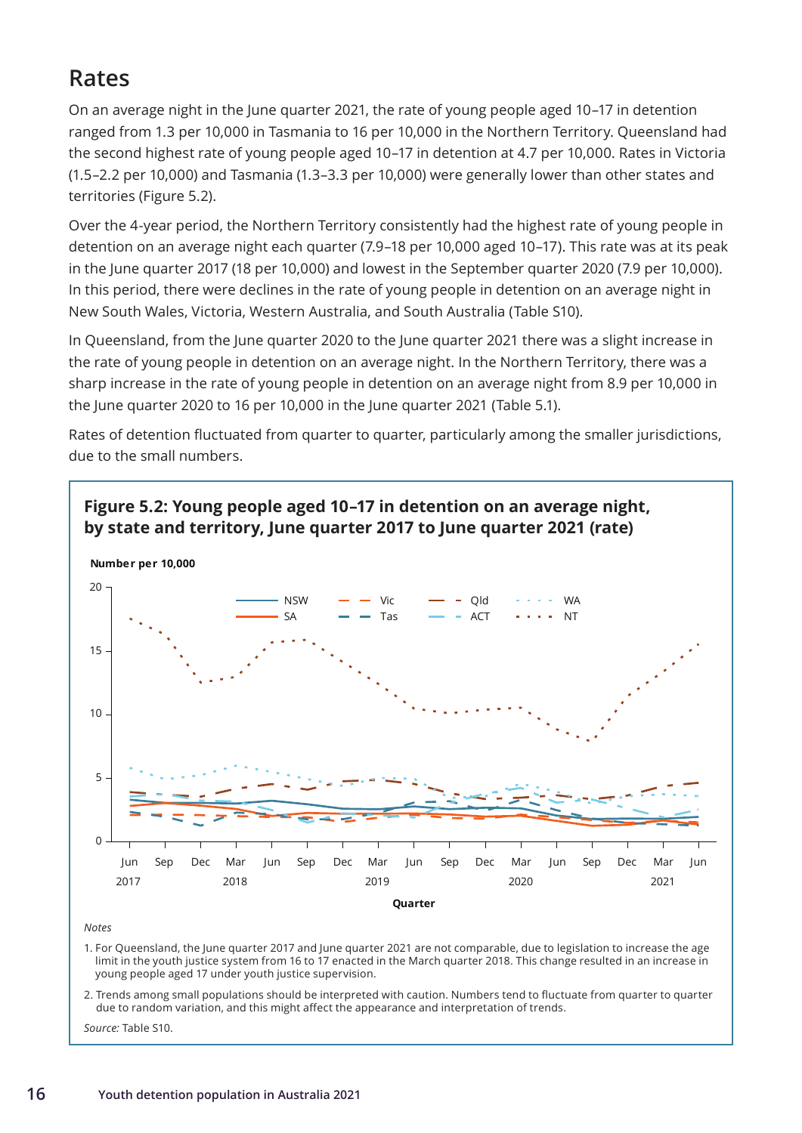## <span id="page-23-0"></span>**Rates**

On an average night in the June quarter 2021, the rate of young people aged 10–17 in detention ranged from 1.3 per 10,000 in Tasmania to 16 per 10,000 in the Northern Territory. Queensland had the second highest rate of young people aged 10–17 in detention at 4.7 per 10,000. Rates in Victoria (1.5–2.2 per 10,000) and Tasmania (1.3–3.3 per 10,000) were generally lower than other states and territories (Figure 5.2).

Over the 4-year period, the Northern Territory consistently had the highest rate of young people in detention on an average night each quarter (7.9–18 per 10,000 aged 10–17). This rate was at its peak in the June quarter 2017 (18 per 10,000) and lowest in the September quarter 2020 (7.9 per 10,000). In this period, there were declines in the rate of young people in detention on an average night in New South Wales, Victoria, Western Australia, and South Australia (Table S10).

In Queensland, from the June quarter 2020 to the June quarter 2021 there was a slight increase in the rate of young people in detention on an average night. In the Northern Territory, there was a sharp increase in the rate of young people in detention on an average night from 8.9 per 10,000 in the June quarter 2020 to 16 per 10,000 in the June quarter 2021 (Table 5.1).

Rates of detention fluctuated from quarter to quarter, particularly among the smaller jurisdictions, due to the small numbers.



*Notes*

1. For Queensland, the June quarter 2017 and June quarter 2021 are not comparable, due to legislation to increase the age limit in the youth justice system from 16 to 17 enacted in the March quarter 2018. This change resulted in an increase in young people aged 17 under youth justice supervision.

2. Trends among small populations should be interpreted with caution. Numbers tend to fluctuate from quarter to quarter due to random variation, and this might affect the appearance and interpretation of trends.

*Source:* Table S10.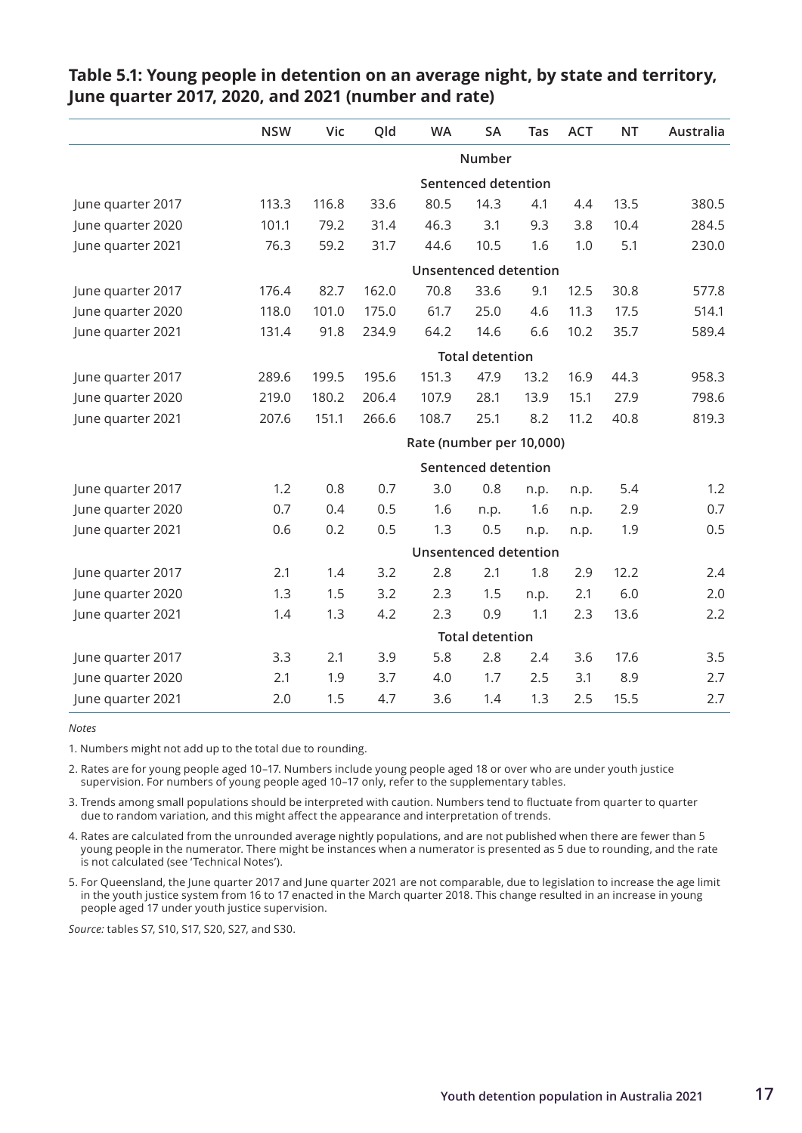|                   | <b>NSW</b> | Vic   | Qld   | <b>WA</b>                    | SA                           | Tas  | <b>ACT</b> | <b>NT</b> | Australia |  |  |
|-------------------|------------|-------|-------|------------------------------|------------------------------|------|------------|-----------|-----------|--|--|
|                   |            |       |       |                              | Number                       |      |            |           |           |  |  |
|                   |            |       |       |                              | <b>Sentenced detention</b>   |      |            |           |           |  |  |
| June quarter 2017 | 113.3      | 116.8 | 33.6  | 80.5                         | 14.3                         | 4.1  | 4.4        | 13.5      | 380.5     |  |  |
| June quarter 2020 | 101.1      | 79.2  | 31.4  | 46.3                         | 3.1                          | 9.3  | 3.8        | 10.4      | 284.5     |  |  |
| June quarter 2021 | 76.3       | 59.2  | 31.7  | 44.6                         | 10.5                         | 1.6  | 1.0        | 5.1       | 230.0     |  |  |
|                   |            |       |       |                              | <b>Unsentenced detention</b> |      |            |           |           |  |  |
| June quarter 2017 | 176.4      | 82.7  | 162.0 | 70.8                         | 33.6                         | 9.1  | 12.5       | 30.8      | 577.8     |  |  |
| June quarter 2020 | 118.0      | 101.0 | 175.0 | 61.7                         | 25.0                         | 4.6  | 11.3       | 17.5      | 514.1     |  |  |
| June quarter 2021 | 131.4      | 91.8  | 234.9 | 64.2                         | 14.6                         | 6.6  | 10.2       | 35.7      | 589.4     |  |  |
|                   |            |       |       |                              | <b>Total detention</b>       |      |            |           |           |  |  |
| June quarter 2017 | 289.6      | 199.5 | 195.6 | 151.3                        | 47.9                         | 13.2 | 16.9       | 44.3      | 958.3     |  |  |
| June quarter 2020 | 219.0      | 180.2 | 206.4 | 107.9                        | 28.1                         | 13.9 | 15.1       | 27.9      | 798.6     |  |  |
| June quarter 2021 | 207.6      | 151.1 | 266.6 | 108.7                        | 25.1                         | 8.2  | 11.2       | 40.8      | 819.3     |  |  |
|                   |            |       |       | Rate (number per 10,000)     |                              |      |            |           |           |  |  |
|                   |            |       |       | <b>Sentenced detention</b>   |                              |      |            |           |           |  |  |
| June quarter 2017 | 1.2        | 0.8   | 0.7   | 3.0                          | 0.8                          | n.p. | n.p.       | 5.4       | 1.2       |  |  |
| June quarter 2020 | 0.7        | 0.4   | 0.5   | 1.6                          | n.p.                         | 1.6  | n.p.       | 2.9       | 0.7       |  |  |
| June quarter 2021 | 0.6        | 0.2   | 0.5   | 1.3                          | 0.5                          | n.p. | n.p.       | 1.9       | 0.5       |  |  |
|                   |            |       |       | <b>Unsentenced detention</b> |                              |      |            |           |           |  |  |
| June quarter 2017 | 2.1        | 1.4   | 3.2   | 2.8                          | 2.1                          | 1.8  | 2.9        | 12.2      | 2.4       |  |  |
| June quarter 2020 | 1.3        | 1.5   | 3.2   | 2.3                          | 1.5                          | n.p. | 2.1        | 6.0       | 2.0       |  |  |
| June quarter 2021 | 1.4        | 1.3   | 4.2   | 2.3                          | 0.9                          | 1.1  | 2.3        | 13.6      | 2.2       |  |  |
|                   |            |       |       |                              | <b>Total detention</b>       |      |            |           |           |  |  |
| June quarter 2017 | 3.3        | 2.1   | 3.9   | 5.8                          | 2.8                          | 2.4  | 3.6        | 17.6      | 3.5       |  |  |
| June quarter 2020 | 2.1        | 1.9   | 3.7   | 4.0                          | 1.7                          | 2.5  | 3.1        | 8.9       | 2.7       |  |  |
| June quarter 2021 | 2.0        | 1.5   | 4.7   | 3.6                          | 1.4                          | 1.3  | 2.5        | 15.5      | 2.7       |  |  |

#### **Table 5.1: Young people in detention on an average night, by state and territory, June quarter 2017, 2020, and 2021 (number and rate)**

*Notes*

1. Numbers might not add up to the total due to rounding.

2. Rates are for young people aged 10–17. Numbers include young people aged 18 or over who are under youth justice supervision. For numbers of young people aged 10–17 only, refer to the supplementary tables.

3. Trends among small populations should be interpreted with caution. Numbers tend to fluctuate from quarter to quarter due to random variation, and this might affect the appearance and interpretation of trends.

4. Rates are calculated from the unrounded average nightly populations, and are not published when there are fewer than 5 young people in the numerator. There might be instances when a numerator is presented as 5 due to rounding, and the rate is not calculated (see 'Technical Notes').

5. For Queensland, the June quarter 2017 and June quarter 2021 are not comparable, due to legislation to increase the age limit in the youth justice system from 16 to 17 enacted in the March quarter 2018. This change resulted in an increase in young people aged 17 under youth justice supervision.

*Source:* tables S7, S10, S17, S20, S27, and S30.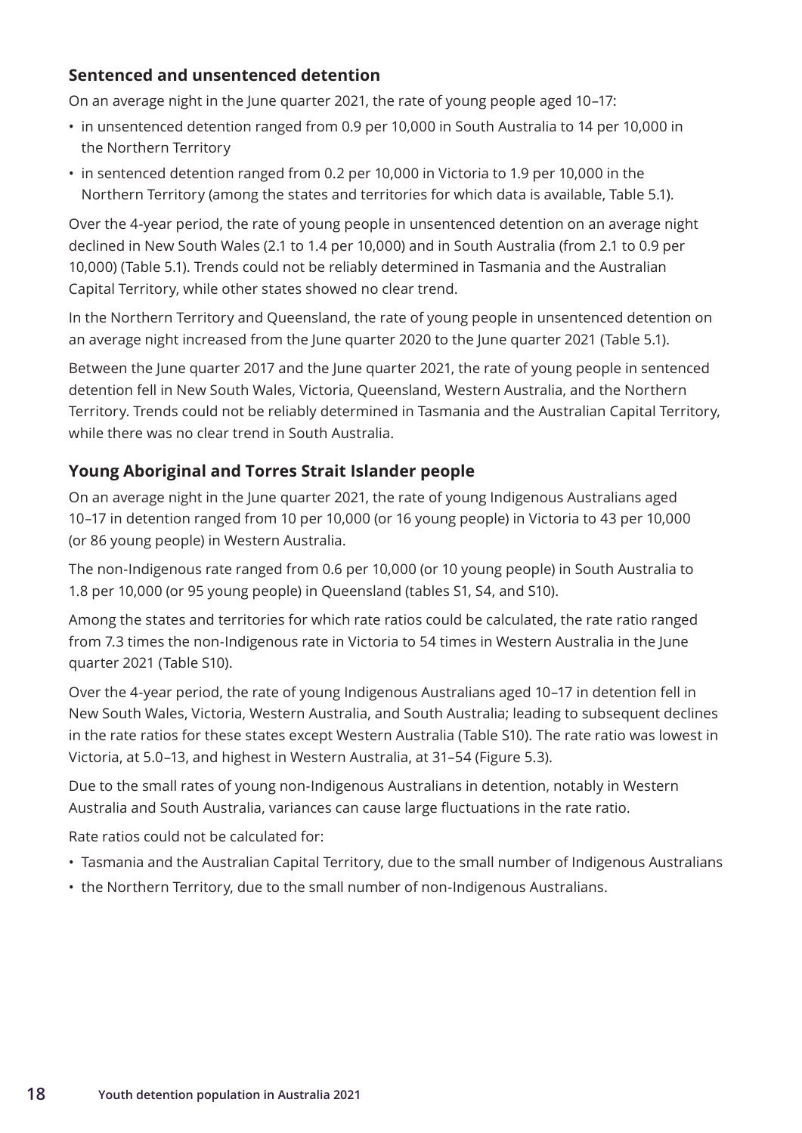### <span id="page-25-0"></span>**Sentenced and unsentenced detention**

On an average night in the June quarter 2021, the rate of young people aged 10–17:

- in unsentenced detention ranged from 0.9 per 10,000 in South Australia to 14 per 10,000 in the Northern Territory
- in sentenced detention ranged from 0.2 per 10,000 in Victoria to 1.9 per 10,000 in the Northern Territory (among the states and territories for which data is available, Table 5.1).

Over the 4-year period, the rate of young people in unsentenced detention on an average night declined in New South Wales (2.1 to 1.4 per 10,000) and in South Australia (from 2.1 to 0.9 per 10,000) (Table 5.1). Trends could not be reliably determined in Tasmania and the Australian Capital Territory, while other states showed no clear trend.

In the Northern Territory and Queensland, the rate of young people in unsentenced detention on an average night increased from the June quarter 2020 to the June quarter 2021 (Table 5.1).

Between the June quarter 2017 and the June quarter 2021, the rate of young people in sentenced detention fell in New South Wales, Victoria, Queensland, Western Australia, and the Northern Territory. Trends could not be reliably determined in Tasmania and the Australian Capital Territory, while there was no clear trend in South Australia.

### **Young Aboriginal and Torres Strait Islander people**

On an average night in the June quarter 2021, the rate of young Indigenous Australians aged 10–17 in detention ranged from 10 per 10,000 (or 16 young people) in Victoria to 43 per 10,000 (or 86 young people) in Western Australia.

The non-Indigenous rate ranged from 0.6 per 10,000 (or 10 young people) in South Australia to 1.8 per 10,000 (or 95 young people) in Queensland (tables S1, S4, and S10).

Among the states and territories for which rate ratios could be calculated, the rate ratio ranged from 7.3 times the non-Indigenous rate in Victoria to 54 times in Western Australia in the June quarter 2021 (Table S10).

Over the 4-year period, the rate of young Indigenous Australians aged 10–17 in detention fell in New South Wales, Victoria, Western Australia, and South Australia; leading to subsequent declines in the rate ratios for these states except Western Australia (Table S10). The rate ratio was lowest in Victoria, at 5.0–13, and highest in Western Australia, at 31–54 (Figure 5.3).

Due to the small rates of young non-Indigenous Australians in detention, notably in Western Australia and South Australia, variances can cause large fluctuations in the rate ratio.

Rate ratios could not be calculated for:

- Tasmania and the Australian Capital Territory, due to the small number of Indigenous Australians
- the Northern Territory, due to the small number of non-Indigenous Australians.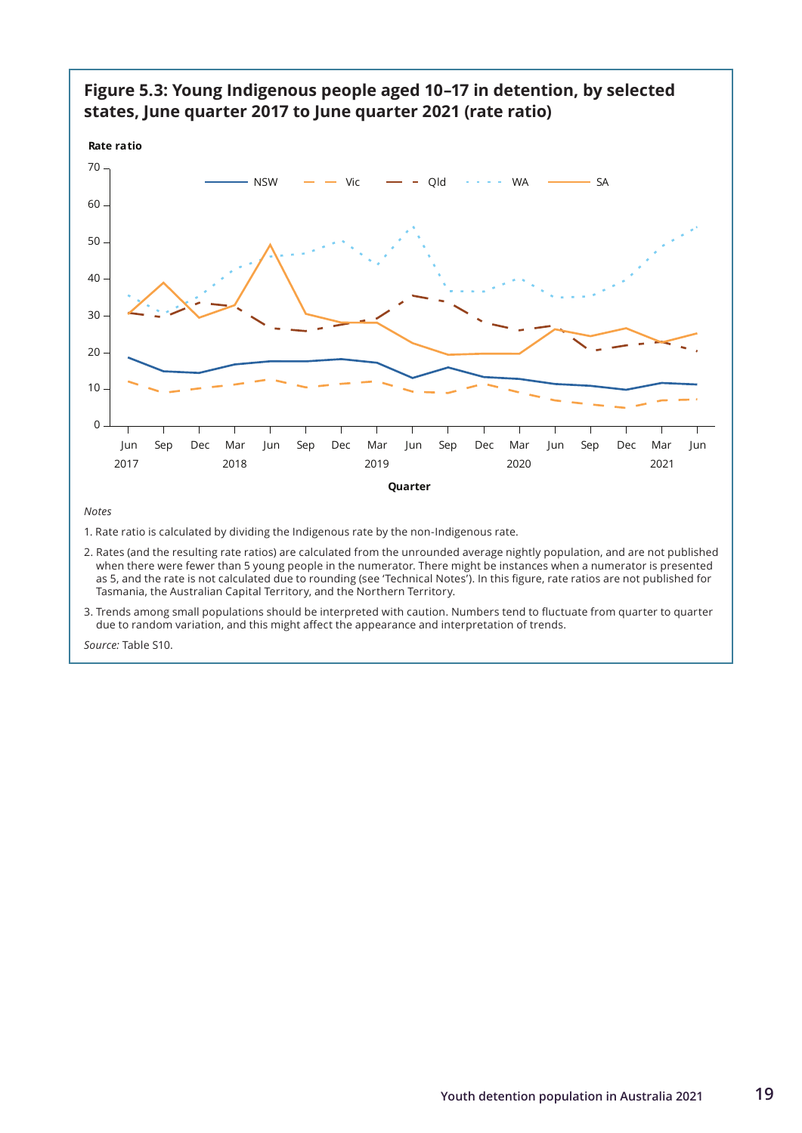

### **Figure 5.3: Young Indigenous people aged 10–17 in detention, by selected states, June quarter 2017 to June quarter 2021 (rate ratio)**

*Notes* 

1. Rate ratio is calculated by dividing the Indigenous rate by the non-Indigenous rate.

- 2. Rates (and the resulting rate ratios) are calculated from the unrounded average nightly population, and are not published when there were fewer than 5 young people in the numerator. There might be instances when a numerator is presented as 5, and the rate is not calculated due to rounding (see 'Technical Notes'). In this figure, rate ratios are not published for Tasmania, the Australian Capital Territory, and the Northern Territory.
- 3. Trends among small populations should be interpreted with caution. Numbers tend to fluctuate from quarter to quarter due to random variation, and this might affect the appearance and interpretation of trends.

*Source:* Table S10.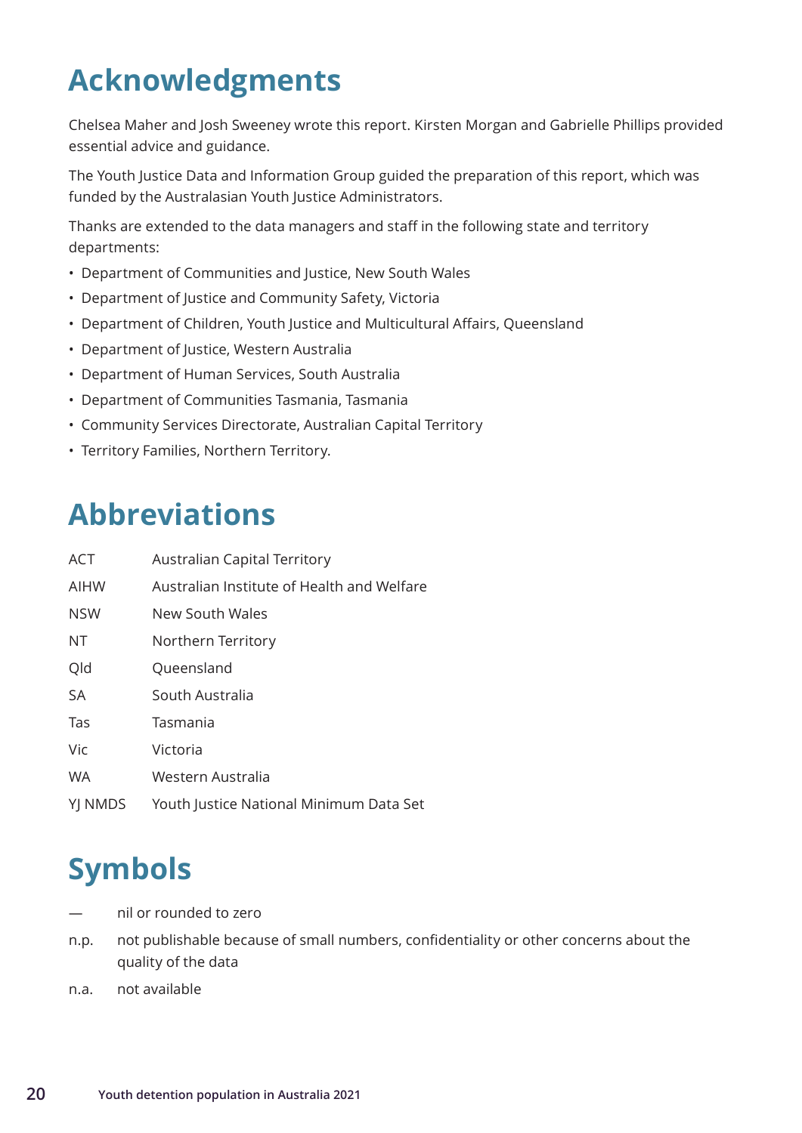## <span id="page-27-0"></span>**Acknowledgments**

Chelsea Maher and Josh Sweeney wrote this report. Kirsten Morgan and Gabrielle Phillips provided essential advice and guidance.

The Youth Justice Data and Information Group guided the preparation of this report, which was funded by the Australasian Youth Justice Administrators.

Thanks are extended to the data managers and staff in the following state and territory departments:

- Department of Communities and Justice, New South Wales
- Department of Justice and Community Safety, Victoria
- Department of Children, Youth Justice and Multicultural Affairs, Queensland
- Department of Justice, Western Australia
- Department of Human Services, South Australia
- Department of Communities Tasmania, Tasmania
- Community Services Directorate, Australian Capital Territory
- Territory Families, Northern Territory.

## **Abbreviations**

| <b>ACT</b> | <b>Australian Capital Territory</b>        |
|------------|--------------------------------------------|
| AIHW       | Australian Institute of Health and Welfare |
| <b>NSW</b> | New South Wales                            |
| ΝT         | Northern Territory                         |
| Qld        | Queensland                                 |
| <b>SA</b>  | South Australia                            |
| Tas        | Tasmania                                   |
| Vic        | Victoria                                   |
| <b>WA</b>  | Western Australia                          |
| YJ NMDS    | Youth Justice National Minimum Data Set    |

## **Symbols**

- nil or rounded to zero
- n.p. not publishable because of small numbers, confidentiality or other concerns about the quality of the data
- n.a. not available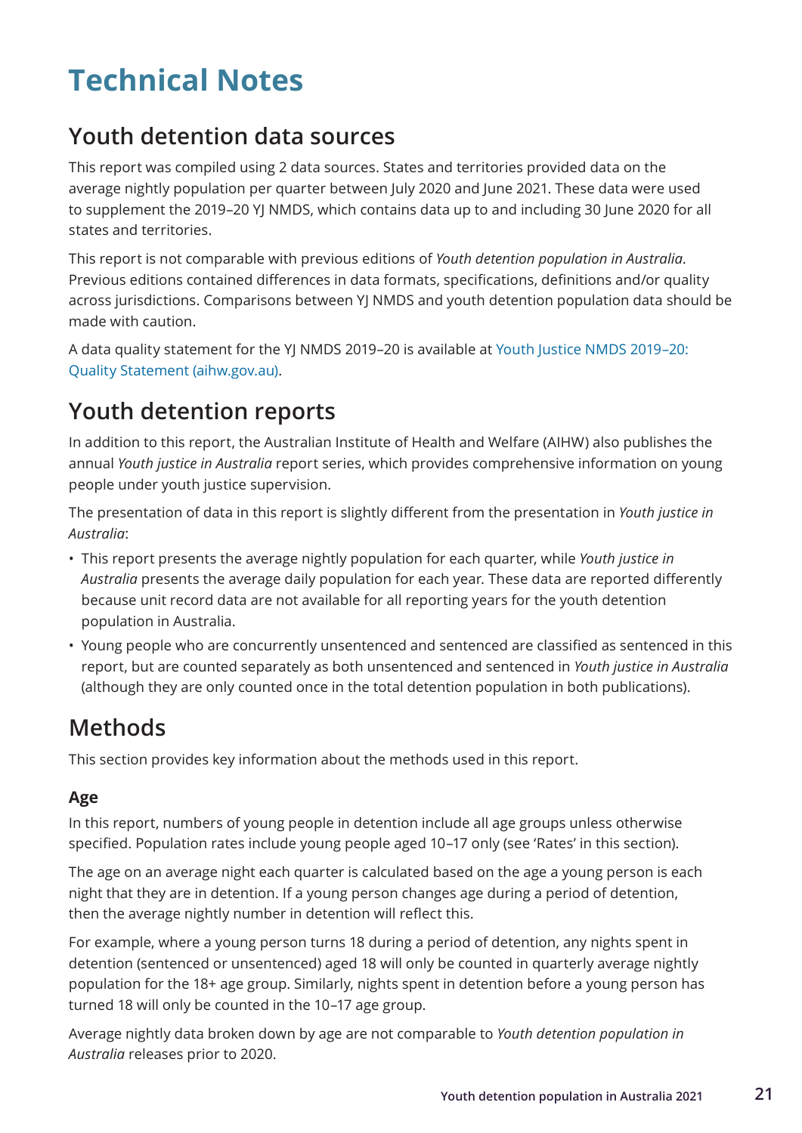## <span id="page-28-0"></span>**Technical Notes**

## **Youth detention data sources**

This report was compiled using 2 data sources. States and territories provided data on the average nightly population per quarter between July 2020 and June 2021. These data were used to supplement the 2019–20 YJ NMDS, which contains data up to and including 30 June 2020 for all states and territories.

This report is not comparable with previous editions of *Youth detention population in Australia*. Previous editions contained differences in data formats, specifications, definitions and/or quality across jurisdictions. Comparisons between YJ NMDS and youth detention population data should be made with caution.

A data quality statement for the YJ NMDS 2019–20 is available at [Youth Justice NMDS 2019–20:](https://meteor.aihw.gov.au/content/index.phtml/itemId/743393)  [Quality Statement \(aihw.gov.au\).](https://meteor.aihw.gov.au/content/index.phtml/itemId/743393)

## **Youth detention reports**

In addition to this report, the Australian Institute of Health and Welfare (AIHW) also publishes the annual *Youth justice in Australia* report series, which provides comprehensive information on young people under youth justice supervision.

The presentation of data in this report is slightly different from the presentation in *Youth justice in Australia*:

- This report presents the average nightly population for each quarter, while *Youth justice in Australia* presents the average daily population for each year. These data are reported differently because unit record data are not available for all reporting years for the youth detention population in Australia.
- Young people who are concurrently unsentenced and sentenced are classified as sentenced in this report, but are counted separately as both unsentenced and sentenced in *Youth justice in Australia* (although they are only counted once in the total detention population in both publications).

## **Methods**

This section provides key information about the methods used in this report.

### **Age**

In this report, numbers of young people in detention include all age groups unless otherwise specified. Population rates include young people aged 10–17 only (see 'Rates' in this section).

The age on an average night each quarter is calculated based on the age a young person is each night that they are in detention. If a young person changes age during a period of detention, then the average nightly number in detention will reflect this.

For example, where a young person turns 18 during a period of detention, any nights spent in detention (sentenced or unsentenced) aged 18 will only be counted in quarterly average nightly population for the 18+ age group. Similarly, nights spent in detention before a young person has turned 18 will only be counted in the 10–17 age group.

Average nightly data broken down by age are not comparable to *Youth detention population in Australia* releases prior to 2020.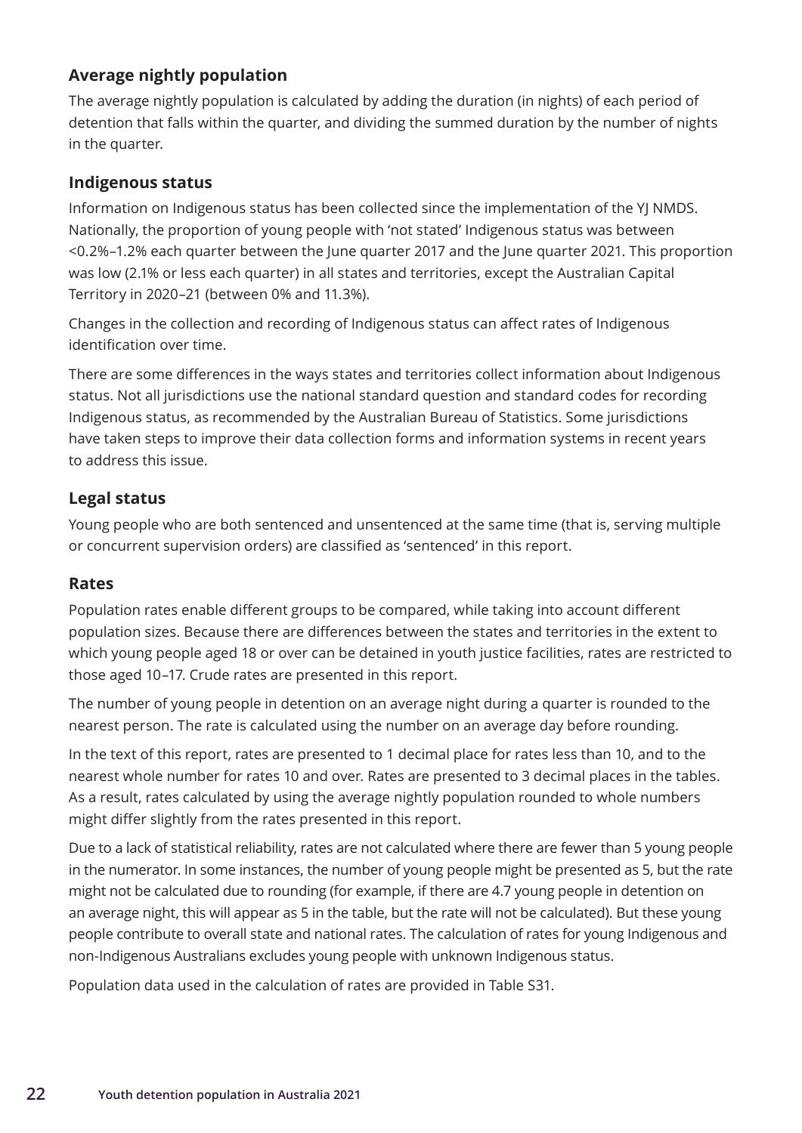### <span id="page-29-0"></span>**Average nightly population**

The average nightly population is calculated by adding the duration (in nights) of each period of detention that falls within the quarter, and dividing the summed duration by the number of nights in the quarter.

### **Indigenous status**

Information on Indigenous status has been collected since the implementation of the YJ NMDS. Nationally, the proportion of young people with 'not stated' Indigenous status was between <0.2%–1.2% each quarter between the June quarter 2017 and the June quarter 2021. This proportion was low (2.1% or less each quarter) in all states and territories, except the Australian Capital Territory in 2020–21 (between 0% and 11.3%).

Changes in the collection and recording of Indigenous status can affect rates of Indigenous identification over time.

There are some differences in the ways states and territories collect information about Indigenous status. Not all jurisdictions use the national standard question and standard codes for recording Indigenous status, as recommended by the Australian Bureau of Statistics. Some jurisdictions have taken steps to improve their data collection forms and information systems in recent years to address this issue.

### **Legal status**

Young people who are both sentenced and unsentenced at the same time (that is, serving multiple or concurrent supervision orders) are classified as 'sentenced' in this report.

#### **Rates**

Population rates enable different groups to be compared, while taking into account different population sizes. Because there are differences between the states and territories in the extent to which young people aged 18 or over can be detained in youth justice facilities, rates are restricted to those aged 10–17. Crude rates are presented in this report.

The number of young people in detention on an average night during a quarter is rounded to the nearest person. The rate is calculated using the number on an average day before rounding.

In the text of this report, rates are presented to 1 decimal place for rates less than 10, and to the nearest whole number for rates 10 and over. Rates are presented to 3 decimal places in the tables. As a result, rates calculated by using the average nightly population rounded to whole numbers might differ slightly from the rates presented in this report.

Due to a lack of statistical reliability, rates are not calculated where there are fewer than 5 young people in the numerator. In some instances, the number of young people might be presented as 5, but the rate might not be calculated due to rounding (for example, if there are 4.7 young people in detention on an average night, this will appear as 5 in the table, but the rate will not be calculated). But these young people contribute to overall state and national rates. The calculation of rates for young Indigenous and non-Indigenous Australians excludes young people with unknown Indigenous status.

Population data used in the calculation of rates are provided in Table S31.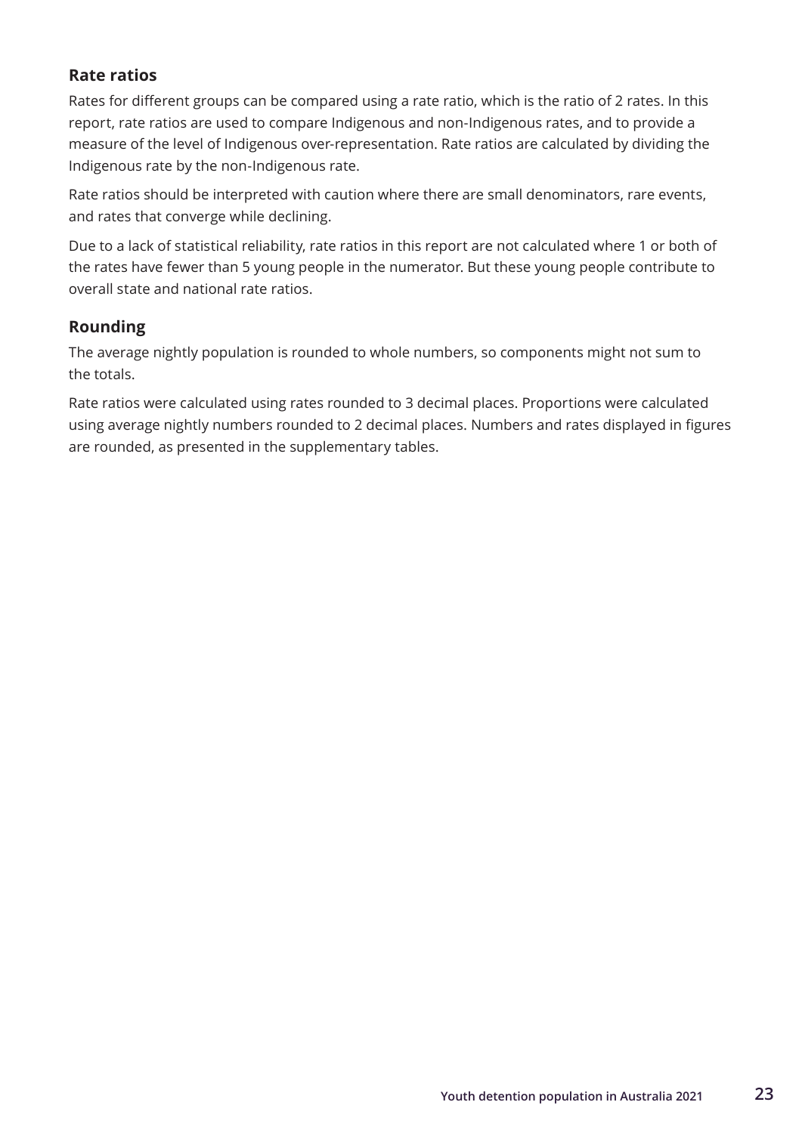### <span id="page-30-0"></span>**Rate ratios**

Rates for different groups can be compared using a rate ratio, which is the ratio of 2 rates. In this report, rate ratios are used to compare Indigenous and non-Indigenous rates, and to provide a measure of the level of Indigenous over-representation. Rate ratios are calculated by dividing the Indigenous rate by the non-Indigenous rate.

Rate ratios should be interpreted with caution where there are small denominators, rare events, and rates that converge while declining.

Due to a lack of statistical reliability, rate ratios in this report are not calculated where 1 or both of the rates have fewer than 5 young people in the numerator. But these young people contribute to overall state and national rate ratios.

### **Rounding**

The average nightly population is rounded to whole numbers, so components might not sum to the totals.

Rate ratios were calculated using rates rounded to 3 decimal places. Proportions were calculated using average nightly numbers rounded to 2 decimal places. Numbers and rates displayed in figures are rounded, as presented in the supplementary tables.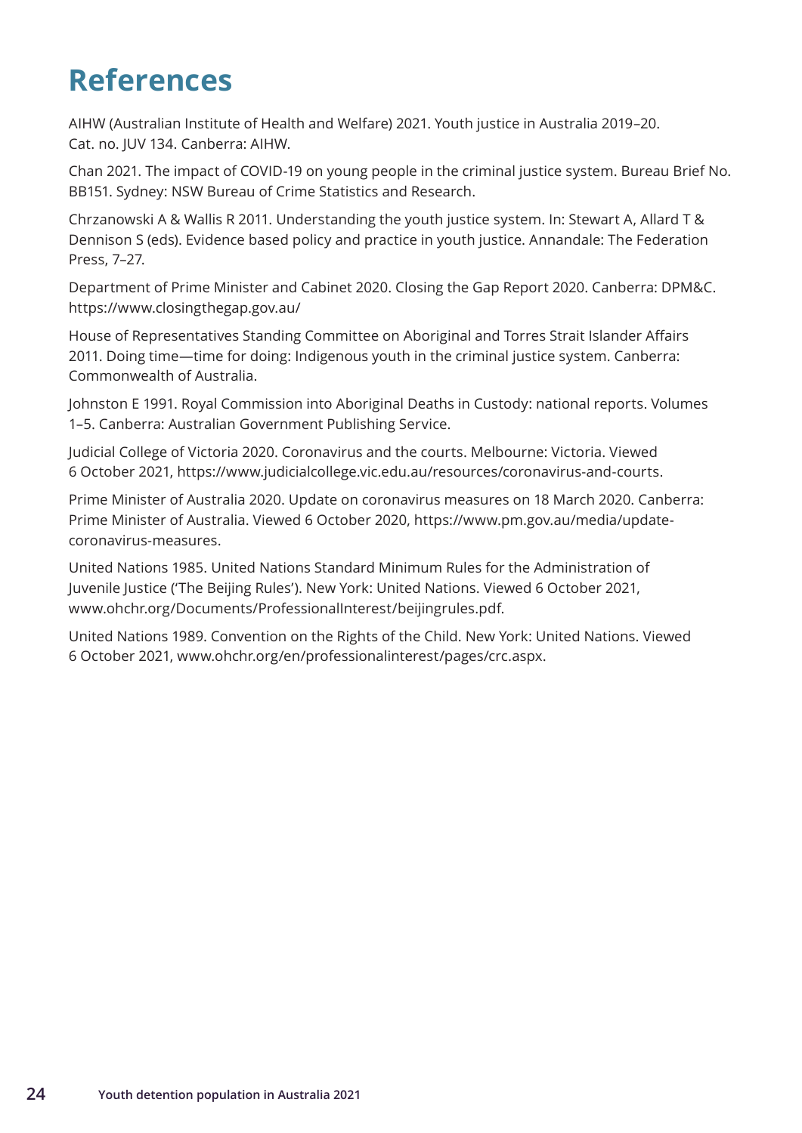## <span id="page-31-0"></span>**References**

AIHW (Australian Institute of Health and Welfare) 2021. Youth justice in Australia 2019–20. Cat. no. JUV 134. Canberra: AIHW.

Chan 2021. The impact of COVID-19 on young people in the criminal justice system. Bureau Brief No. BB151. Sydney: NSW Bureau of Crime Statistics and Research.

Chrzanowski A & Wallis R 2011. Understanding the youth justice system. In: Stewart A, Allard T & Dennison S (eds). Evidence based policy and practice in youth justice. Annandale: The Federation Press, 7–27.

Department of Prime Minister and Cabinet 2020. Closing the Gap Report 2020. Canberra: DPM&C. https://www.closingthegap.gov.au/

House of Representatives Standing Committee on Aboriginal and Torres Strait Islander Affairs 2011. Doing time—time for doing: Indigenous youth in the criminal justice system. Canberra: Commonwealth of Australia.

Johnston E 1991. Royal Commission into Aboriginal Deaths in Custody: national reports. Volumes 1–5. Canberra: Australian Government Publishing Service.

Judicial College of Victoria 2020. Coronavirus and the courts. Melbourne: Victoria. Viewed 6 October 2021, https://www.judicialcollege.vic.edu.au/resources/coronavirus-and-courts.

Prime Minister of Australia 2020. Update on coronavirus measures on 18 March 2020. Canberra: Prime Minister of Australia. Viewed 6 October 2020, https://www.pm.gov.au/media/updatecoronavirus-measures.

United Nations 1985. United Nations Standard Minimum Rules for the Administration of Juvenile Justice ('The Beijing Rules'). New York: United Nations. Viewed 6 October 2021, www.ohchr.org/Documents/ProfessionalInterest/beijingrules.pdf.

United Nations 1989. Convention on the Rights of the Child. New York: United Nations. Viewed 6 October 2021, www.ohchr.org/en/professionalinterest/pages/crc.aspx.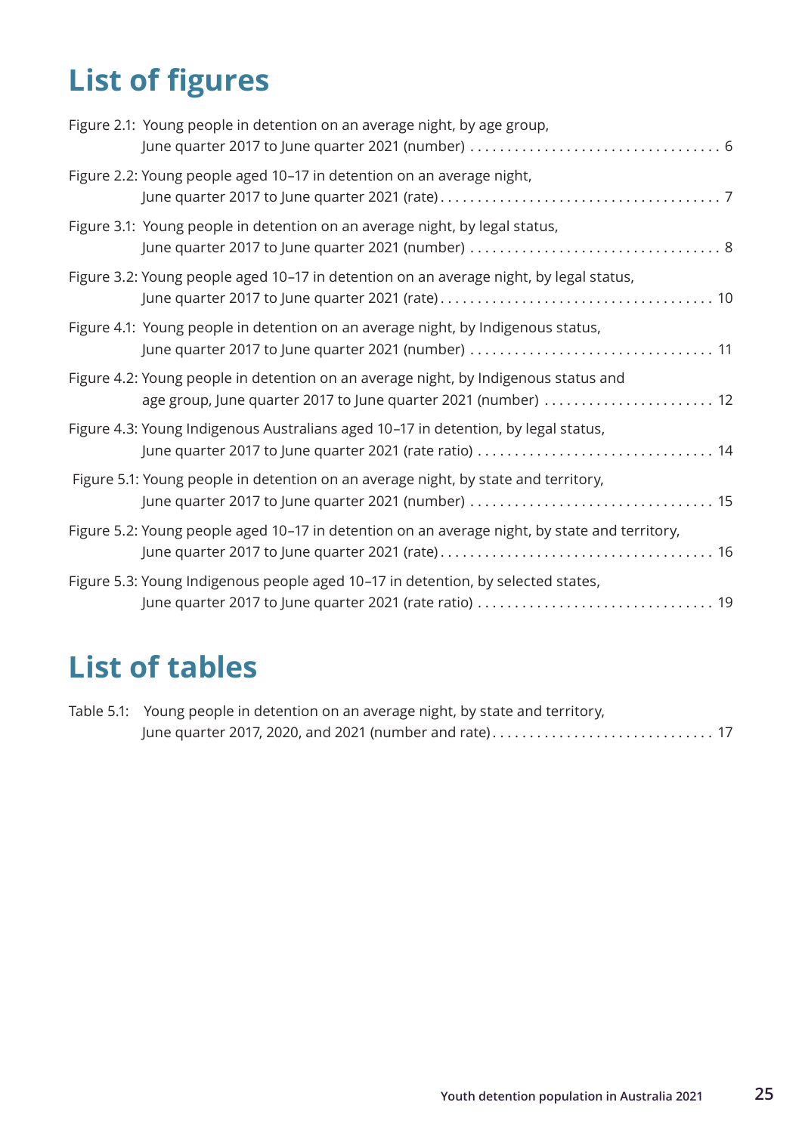# <span id="page-32-0"></span>**List of figures**

| Figure 2.1: Young people in detention on an average night, by age group,                                                                              |
|-------------------------------------------------------------------------------------------------------------------------------------------------------|
| Figure 2.2: Young people aged 10-17 in detention on an average night,                                                                                 |
| Figure 3.1: Young people in detention on an average night, by legal status,                                                                           |
| Figure 3.2: Young people aged 10-17 in detention on an average night, by legal status,                                                                |
| Figure 4.1: Young people in detention on an average night, by Indigenous status,                                                                      |
| Figure 4.2: Young people in detention on an average night, by Indigenous status and<br>age group, June quarter 2017 to June quarter 2021 (number)  12 |
| Figure 4.3: Young Indigenous Australians aged 10-17 in detention, by legal status,<br>June quarter 2017 to June quarter 2021 (rate ratio)  14         |
| Figure 5.1: Young people in detention on an average night, by state and territory,                                                                    |
| Figure 5.2: Young people aged 10-17 in detention on an average night, by state and territory,                                                         |
| Figure 5.3: Young Indigenous people aged 10-17 in detention, by selected states,                                                                      |

## **List of tables**

| Table 5.1: Young people in detention on an average night, by state and territory, |  |
|-----------------------------------------------------------------------------------|--|
|                                                                                   |  |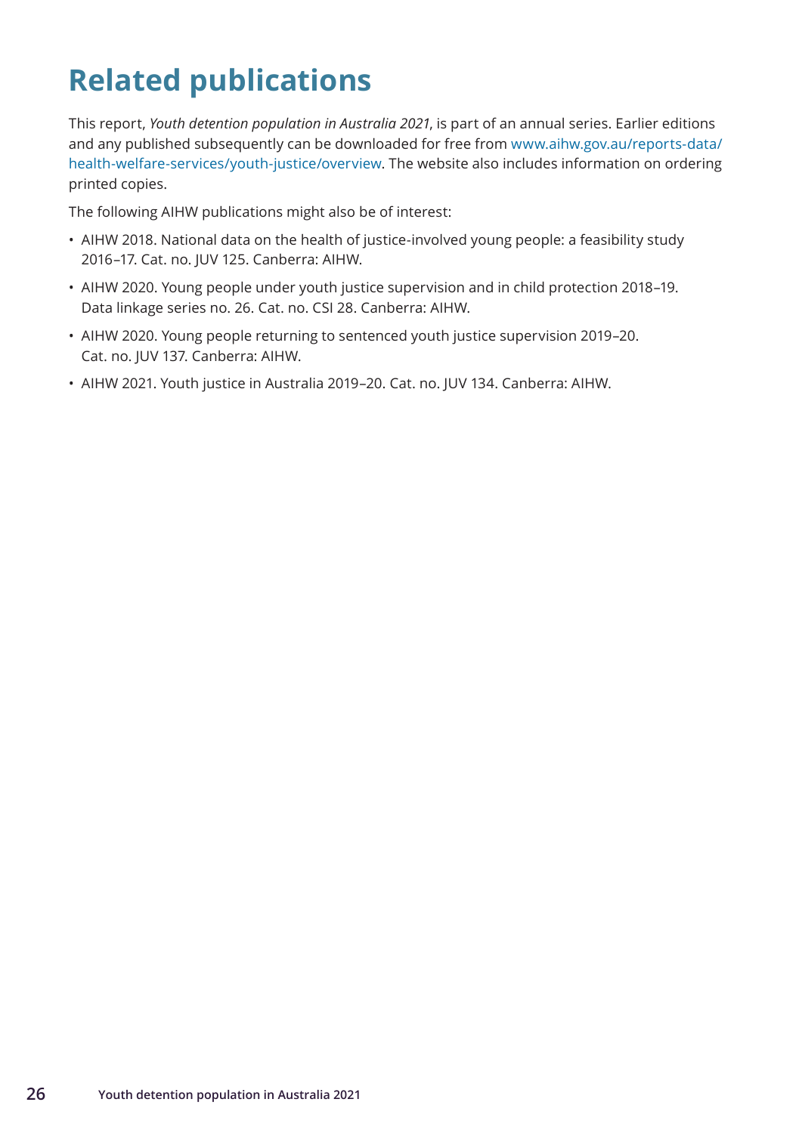## <span id="page-33-0"></span>**Related publications**

This report, *Youth detention population in Australia 2021*, is part of an annual series. Earlier editions and any published subsequently can be downloaded for free from www.aihw.gov.au/reports-data/ health-welfare-services/youth-justice/overview. The website also includes information on ordering printed copies.

The following AIHW publications might also be of interest:

- AIHW 2018. National data on the health of justice-involved young people: a feasibility study 2016–17. Cat. no. JUV 125. Canberra: AIHW.
- AIHW 2020. Young people under youth justice supervision and in child protection 2018–19. Data linkage series no. 26. Cat. no. CSI 28. Canberra: AIHW.
- AIHW 2020. Young people returning to sentenced youth justice supervision 2019–20. Cat. no. JUV 137. Canberra: AIHW.
- AIHW 2021. Youth justice in Australia 2019–20. Cat. no. JUV 134. Canberra: AIHW.